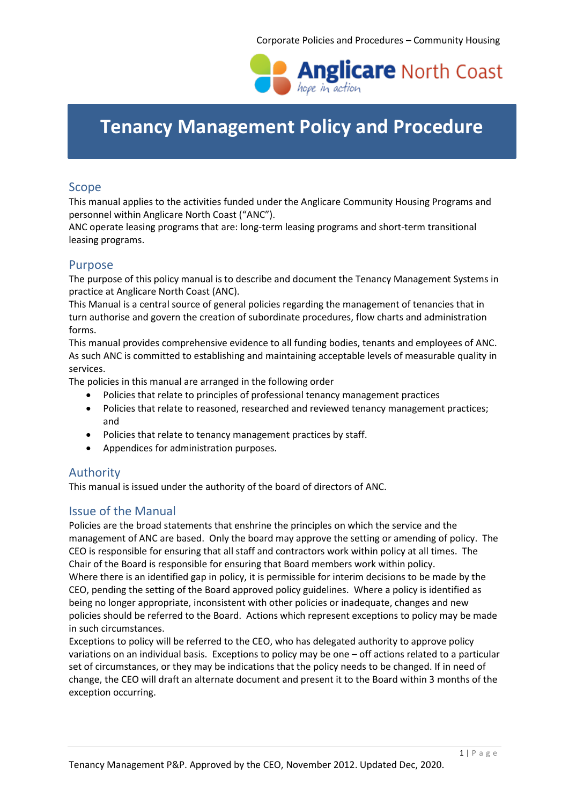

# **Tenancy Management Policy and Procedure**

### Scope

This manual applies to the activities funded under the Anglicare Community Housing Programs and personnel within Anglicare North Coast ("ANC").

ANC operate leasing programs that are: long-term leasing programs and short-term transitional leasing programs.

### Purpose

The purpose of this policy manual is to describe and document the Tenancy Management Systems in practice at Anglicare North Coast (ANC).

This Manual is a central source of general policies regarding the management of tenancies that in turn authorise and govern the creation of subordinate procedures, flow charts and administration forms.

This manual provides comprehensive evidence to all funding bodies, tenants and employees of ANC. As such ANC is committed to establishing and maintaining acceptable levels of measurable quality in services.

The policies in this manual are arranged in the following order

- Policies that relate to principles of professional tenancy management practices
- Policies that relate to reasoned, researched and reviewed tenancy management practices; and
- Policies that relate to tenancy management practices by staff.
- Appendices for administration purposes.

### Authority

This manual is issued under the authority of the board of directors of ANC.

### Issue of the Manual

Policies are the broad statements that enshrine the principles on which the service and the management of ANC are based. Only the board may approve the setting or amending of policy. The CEO is responsible for ensuring that all staff and contractors work within policy at all times. The Chair of the Board is responsible for ensuring that Board members work within policy. Where there is an identified gap in policy, it is permissible for interim decisions to be made by the CEO, pending the setting of the Board approved policy guidelines. Where a policy is identified as being no longer appropriate, inconsistent with other policies or inadequate, changes and new policies should be referred to the Board. Actions which represent exceptions to policy may be made in such circumstances.

Exceptions to policy will be referred to the CEO, who has delegated authority to approve policy variations on an individual basis. Exceptions to policy may be one – off actions related to a particular set of circumstances, or they may be indications that the policy needs to be changed. If in need of change, the CEO will draft an alternate document and present it to the Board within 3 months of the exception occurring.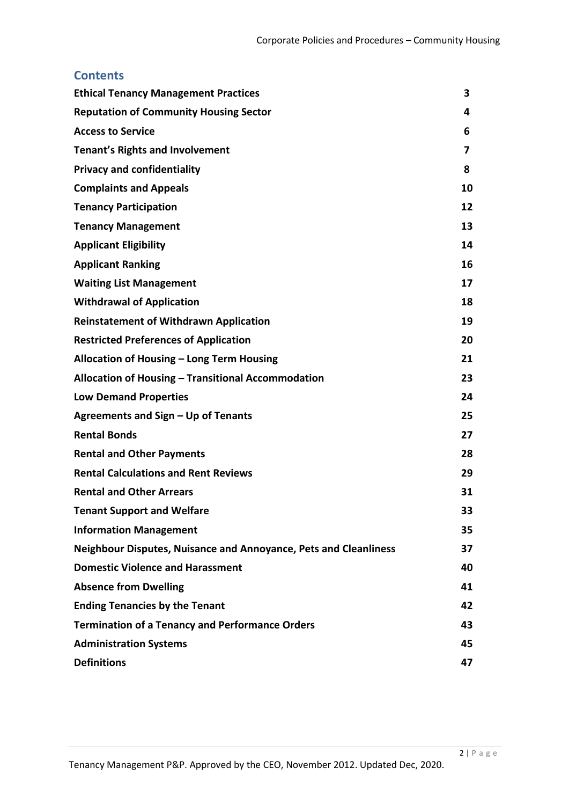# **Contents**

| <b>Ethical Tenancy Management Practices</b>                      | 3  |
|------------------------------------------------------------------|----|
| <b>Reputation of Community Housing Sector</b>                    | 4  |
| <b>Access to Service</b>                                         | 6  |
| <b>Tenant's Rights and Involvement</b>                           | 7  |
| <b>Privacy and confidentiality</b>                               | 8  |
| <b>Complaints and Appeals</b>                                    | 10 |
| <b>Tenancy Participation</b>                                     | 12 |
| <b>Tenancy Management</b>                                        | 13 |
| <b>Applicant Eligibility</b>                                     | 14 |
| <b>Applicant Ranking</b>                                         | 16 |
| <b>Waiting List Management</b>                                   | 17 |
| <b>Withdrawal of Application</b>                                 | 18 |
| <b>Reinstatement of Withdrawn Application</b>                    | 19 |
| <b>Restricted Preferences of Application</b>                     | 20 |
| Allocation of Housing - Long Term Housing                        | 21 |
| Allocation of Housing - Transitional Accommodation               | 23 |
| <b>Low Demand Properties</b>                                     | 24 |
| Agreements and Sign - Up of Tenants                              | 25 |
| <b>Rental Bonds</b>                                              | 27 |
| <b>Rental and Other Payments</b>                                 | 28 |
| <b>Rental Calculations and Rent Reviews</b>                      | 29 |
| <b>Rental and Other Arrears</b>                                  | 31 |
| <b>Tenant Support and Welfare</b>                                | 33 |
| <b>Information Management</b>                                    | 35 |
| Neighbour Disputes, Nuisance and Annoyance, Pets and Cleanliness | 37 |
| <b>Domestic Violence and Harassment</b>                          | 40 |
| <b>Absence from Dwelling</b>                                     | 41 |
| <b>Ending Tenancies by the Tenant</b>                            | 42 |
| <b>Termination of a Tenancy and Performance Orders</b>           | 43 |
| <b>Administration Systems</b>                                    | 45 |
| <b>Definitions</b>                                               | 47 |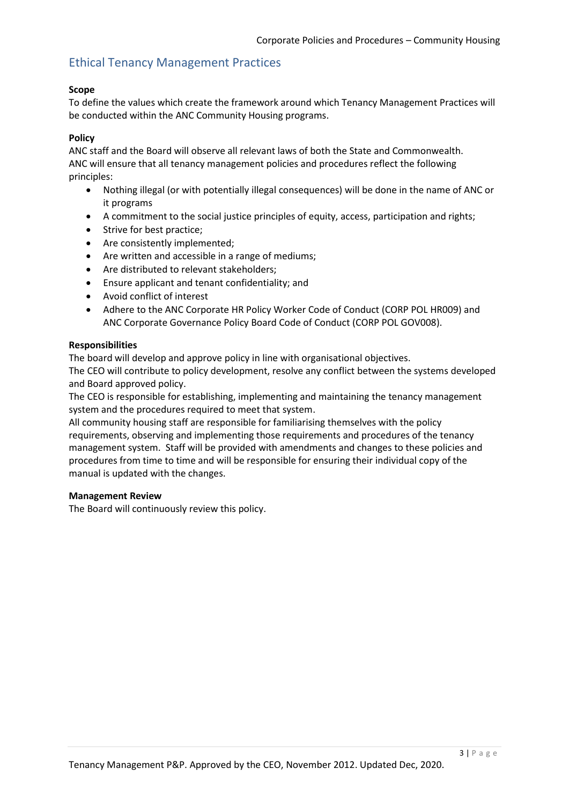# Ethical Tenancy Management Practices

#### **Scope**

To define the values which create the framework around which Tenancy Management Practices will be conducted within the ANC Community Housing programs.

#### **Policy**

ANC staff and the Board will observe all relevant laws of both the State and Commonwealth. ANC will ensure that all tenancy management policies and procedures reflect the following principles:

- Nothing illegal (or with potentially illegal consequences) will be done in the name of ANC or it programs
- A commitment to the social justice principles of equity, access, participation and rights;
- Strive for best practice;
- Are consistently implemented;
- Are written and accessible in a range of mediums;
- Are distributed to relevant stakeholders;
- Ensure applicant and tenant confidentiality; and
- Avoid conflict of interest
- Adhere to the ANC Corporate HR Policy Worker Code of Conduct (CORP POL HR009) and ANC Corporate Governance Policy Board Code of Conduct (CORP POL GOV008).

#### **Responsibilities**

The board will develop and approve policy in line with organisational objectives.

The CEO will contribute to policy development, resolve any conflict between the systems developed and Board approved policy.

The CEO is responsible for establishing, implementing and maintaining the tenancy management system and the procedures required to meet that system.

All community housing staff are responsible for familiarising themselves with the policy requirements, observing and implementing those requirements and procedures of the tenancy management system. Staff will be provided with amendments and changes to these policies and procedures from time to time and will be responsible for ensuring their individual copy of the manual is updated with the changes.

#### **Management Review**

The Board will continuously review this policy.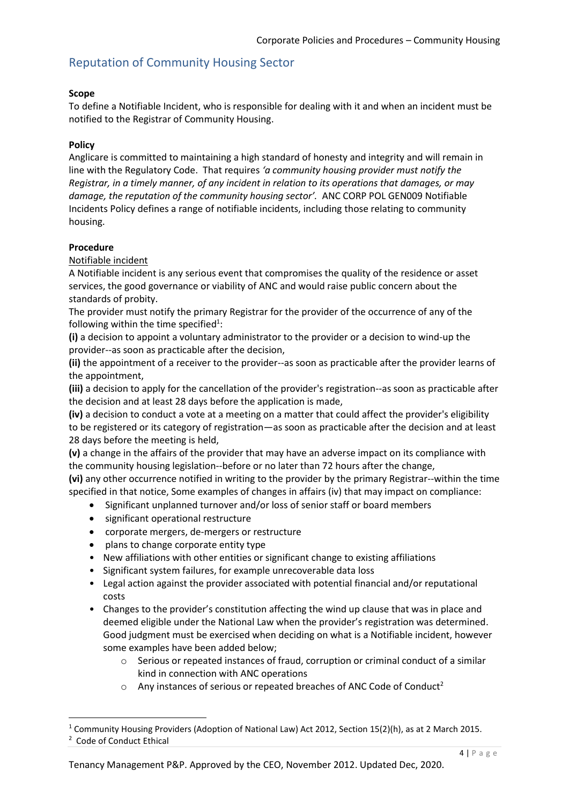# Reputation of Community Housing Sector

#### **Scope**

To define a Notifiable Incident, who is responsible for dealing with it and when an incident must be notified to the Registrar of Community Housing.

#### **Policy**

Anglicare is committed to maintaining a high standard of honesty and integrity and will remain in line with the Regulatory Code. That requires *'a community housing provider must notify the Registrar, in a timely manner, of any incident in relation to its operations that damages, or may damage, the reputation of the community housing sector'.* ANC CORP POL GEN009 Notifiable Incidents Policy defines a range of notifiable incidents, including those relating to community housing.

#### **Procedure**

 $\overline{a}$ 

Notifiable incident

A Notifiable incident is any serious event that compromises the quality of the residence or asset services, the good governance or viability of ANC and would raise public concern about the standards of probity.

The provider must notify the primary Registrar for the provider of the occurrence of any of the following within the time specified<sup>1</sup>:

**(i)** a decision to appoint a voluntary administrator to the provider or a decision to wind-up the provider--as soon as practicable after the decision,

**(ii)** the appointment of a receiver to the provider--as soon as practicable after the provider learns of the appointment,

**(iii)** a decision to apply for the cancellation of the provider's registration--as soon as practicable after the decision and at least 28 days before the application is made,

**(iv)** a decision to conduct a vote at a meeting on a matter that could affect the provider's eligibility to be registered or its category of registration—as soon as practicable after the decision and at least 28 days before the meeting is held,

**(v)** a change in the affairs of the provider that may have an adverse impact on its compliance with the community housing legislation--before or no later than 72 hours after the change,

**(vi)** any other occurrence notified in writing to the provider by the primary Registrar--within the time specified in that notice, Some examples of changes in affairs (iv) that may impact on compliance:

- Significant unplanned turnover and/or loss of senior staff or board members
- significant operational restructure
- corporate mergers, de-mergers or restructure
- plans to change corporate entity type
- New affiliations with other entities or significant change to existing affiliations
- Significant system failures, for example unrecoverable data loss
- Legal action against the provider associated with potential financial and/or reputational costs
- Changes to the provider's constitution affecting the wind up clause that was in place and deemed eligible under the National Law when the provider's registration was determined. Good judgment must be exercised when deciding on what is a Notifiable incident, however some examples have been added below;
	- o Serious or repeated instances of fraud, corruption or criminal conduct of a similar kind in connection with ANC operations
	- $\circ$  Any instances of serious or repeated breaches of ANC Code of Conduct<sup>2</sup>

<sup>&</sup>lt;sup>1</sup> Community Housing Providers (Adoption of National Law) Act 2012, Section 15(2)(h), as at 2 March 2015. 2 Code of Conduct Ethical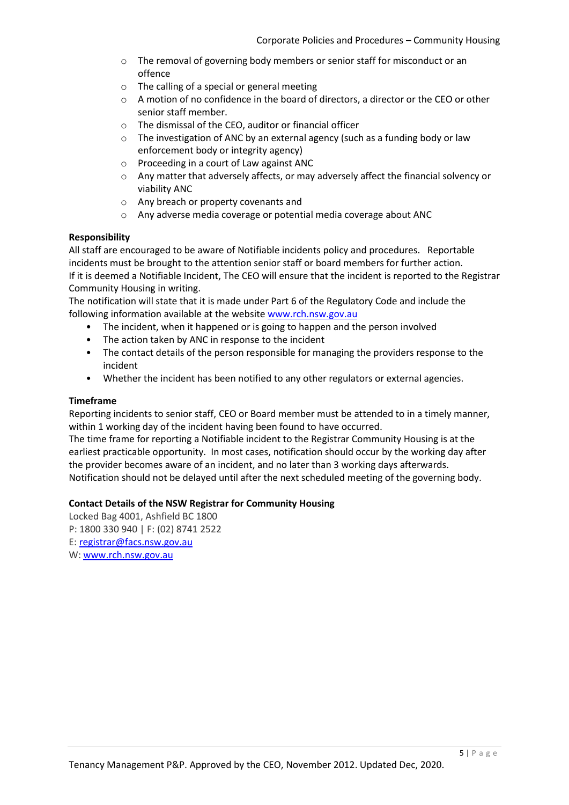- o The removal of governing body members or senior staff for misconduct or an offence
- o The calling of a special or general meeting
- $\circ$  A motion of no confidence in the board of directors, a director or the CEO or other senior staff member.
- o The dismissal of the CEO, auditor or financial officer
- o The investigation of ANC by an external agency (such as a funding body or law enforcement body or integrity agency)
- o Proceeding in a court of Law against ANC
- o Any matter that adversely affects, or may adversely affect the financial solvency or viability ANC
- o Any breach or property covenants and
- o Any adverse media coverage or potential media coverage about ANC

#### **Responsibility**

All staff are encouraged to be aware of Notifiable incidents policy and procedures. Reportable incidents must be brought to the attention senior staff or board members for further action. If it is deemed a Notifiable Incident, The CEO will ensure that the incident is reported to the Registrar Community Housing in writing.

The notification will state that it is made under Part 6 of the Regulatory Code and include the following information available at the website [www.rch.nsw.gov.au](http://www.rch.nsw.gov.au/)

- The incident, when it happened or is going to happen and the person involved
- The action taken by ANC in response to the incident
- The contact details of the person responsible for managing the providers response to the incident
- Whether the incident has been notified to any other regulators or external agencies.

#### **Timeframe**

Reporting incidents to senior staff, CEO or Board member must be attended to in a timely manner, within 1 working day of the incident having been found to have occurred.

The time frame for reporting a Notifiable incident to the Registrar Community Housing is at the earliest practicable opportunity. In most cases, notification should occur by the working day after the provider becomes aware of an incident, and no later than 3 working days afterwards. Notification should not be delayed until after the next scheduled meeting of the governing body.

#### **Contact Details of the NSW Registrar for Community Housing**

Locked Bag 4001, Ashfield BC 1800 P: 1800 330 940 | F: (02) 8741 2522 E: [registrar@facs.nsw.gov.au](mailto:registrar@facs.nsw.gov.au) W: [www.rch.nsw.gov.au](https://www.rch.nsw.gov.au/)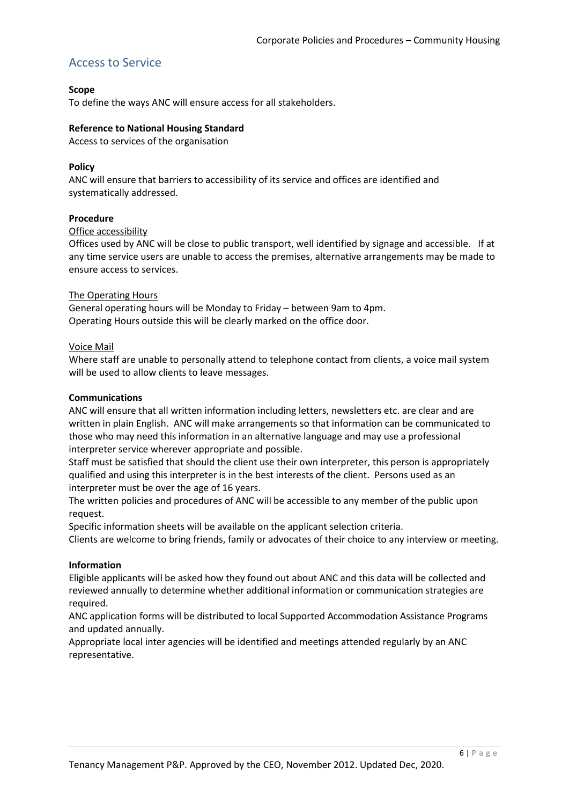### Access to Service

#### **Scope**

To define the ways ANC will ensure access for all stakeholders.

#### **Reference to National Housing Standard**

Access to services of the organisation

#### **Policy**

ANC will ensure that barriers to accessibility of its service and offices are identified and systematically addressed.

#### **Procedure**

#### Office accessibility

Offices used by ANC will be close to public transport, well identified by signage and accessible. If at any time service users are unable to access the premises, alternative arrangements may be made to ensure access to services.

#### The Operating Hours

General operating hours will be Monday to Friday – between 9am to 4pm. Operating Hours outside this will be clearly marked on the office door.

#### Voice Mail

Where staff are unable to personally attend to telephone contact from clients, a voice mail system will be used to allow clients to leave messages.

#### **Communications**

ANC will ensure that all written information including letters, newsletters etc. are clear and are written in plain English. ANC will make arrangements so that information can be communicated to those who may need this information in an alternative language and may use a professional interpreter service wherever appropriate and possible.

Staff must be satisfied that should the client use their own interpreter, this person is appropriately qualified and using this interpreter is in the best interests of the client. Persons used as an interpreter must be over the age of 16 years.

The written policies and procedures of ANC will be accessible to any member of the public upon request.

Specific information sheets will be available on the applicant selection criteria.

Clients are welcome to bring friends, family or advocates of their choice to any interview or meeting.

#### **Information**

Eligible applicants will be asked how they found out about ANC and this data will be collected and reviewed annually to determine whether additional information or communication strategies are required.

ANC application forms will be distributed to local Supported Accommodation Assistance Programs and updated annually.

Appropriate local inter agencies will be identified and meetings attended regularly by an ANC representative.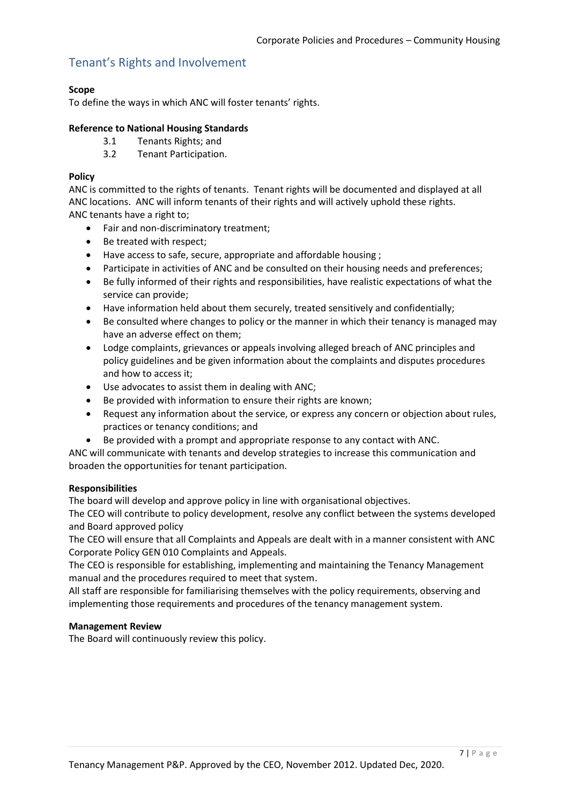# Tenant's Rights and Involvement

#### **Scope**

To define the ways in which ANC will foster tenants' rights.

#### **Reference to National Housing Standards**

- 3.1 Tenants Rights; and
- 3.2 Tenant Participation.

#### **Policy**

ANC is committed to the rights of tenants. Tenant rights will be documented and displayed at all ANC locations. ANC will inform tenants of their rights and will actively uphold these rights. ANC tenants have a right to;

- Fair and non-discriminatory treatment:
- Be treated with respect;
- Have access to safe, secure, appropriate and affordable housing ;
- Participate in activities of ANC and be consulted on their housing needs and preferences;
- Be fully informed of their rights and responsibilities, have realistic expectations of what the service can provide;
- Have information held about them securely, treated sensitively and confidentially;
- Be consulted where changes to policy or the manner in which their tenancy is managed may have an adverse effect on them;
- Lodge complaints, grievances or appeals involving alleged breach of ANC principles and policy guidelines and be given information about the complaints and disputes procedures and how to access it;
- Use advocates to assist them in dealing with ANC;
- Be provided with information to ensure their rights are known;
- Request any information about the service, or express any concern or objection about rules, practices or tenancy conditions; and
- Be provided with a prompt and appropriate response to any contact with ANC.

ANC will communicate with tenants and develop strategies to increase this communication and broaden the opportunities for tenant participation.

#### **Responsibilities**

The board will develop and approve policy in line with organisational objectives.

The CEO will contribute to policy development, resolve any conflict between the systems developed and Board approved policy

The CEO will ensure that all Complaints and Appeals are dealt with in a manner consistent with ANC Corporate Policy GEN 010 Complaints and Appeals.

The CEO is responsible for establishing, implementing and maintaining the Tenancy Management manual and the procedures required to meet that system.

All staff are responsible for familiarising themselves with the policy requirements, observing and implementing those requirements and procedures of the tenancy management system.

#### **Management Review**

The Board will continuously review this policy.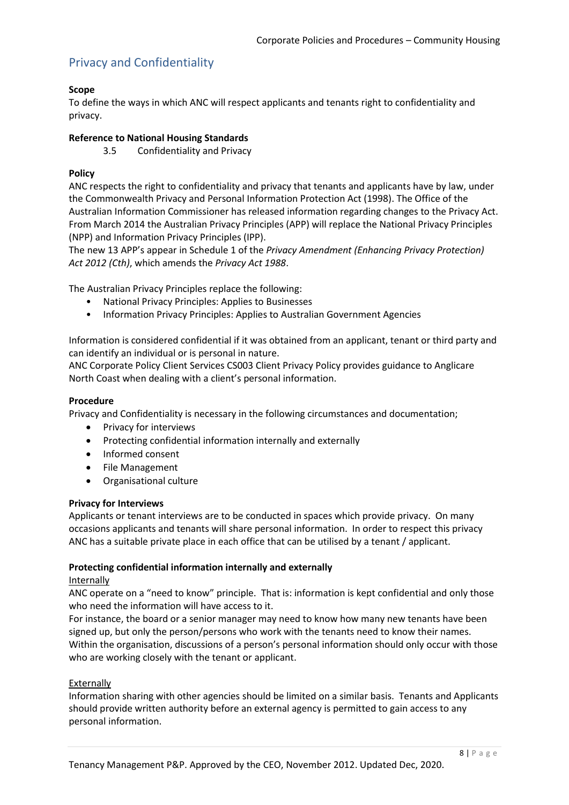# Privacy and Confidentiality

### **Scope**

To define the ways in which ANC will respect applicants and tenants right to confidentiality and privacy.

#### **Reference to National Housing Standards**

3.5 Confidentiality and Privacy

#### **Policy**

ANC respects the right to confidentiality and privacy that tenants and applicants have by law, under the Commonwealth Privacy and Personal Information Protection Act (1998). The Office of the Australian Information Commissioner has released information regarding changes to the Privacy Act. From March 2014 the Australian Privacy Principles (APP) will replace the National Privacy Principles (NPP) and Information Privacy Principles (IPP).

The new 13 APP's appear in Schedule 1 of the *Privacy Amendment (Enhancing Privacy Protection) Act 2012 (Cth)*, which amends the *Privacy Act 1988*.

The Australian Privacy Principles replace the following:

- National Privacy Principles: Applies to Businesses
- Information Privacy Principles: Applies to Australian Government Agencies

Information is considered confidential if it was obtained from an applicant, tenant or third party and can identify an individual or is personal in nature.

ANC Corporate Policy Client Services CS003 Client Privacy Policy provides guidance to Anglicare North Coast when dealing with a client's personal information.

#### **Procedure**

Privacy and Confidentiality is necessary in the following circumstances and documentation;

- Privacy for interviews
- Protecting confidential information internally and externally
- Informed consent
- File Management
- Organisational culture

#### **Privacy for Interviews**

Applicants or tenant interviews are to be conducted in spaces which provide privacy. On many occasions applicants and tenants will share personal information. In order to respect this privacy ANC has a suitable private place in each office that can be utilised by a tenant / applicant.

#### **Protecting confidential information internally and externally**

#### Internally

ANC operate on a "need to know" principle. That is: information is kept confidential and only those who need the information will have access to it.

For instance, the board or a senior manager may need to know how many new tenants have been signed up, but only the person/persons who work with the tenants need to know their names. Within the organisation, discussions of a person's personal information should only occur with those who are working closely with the tenant or applicant.

#### **Externally**

Information sharing with other agencies should be limited on a similar basis. Tenants and Applicants should provide written authority before an external agency is permitted to gain access to any personal information.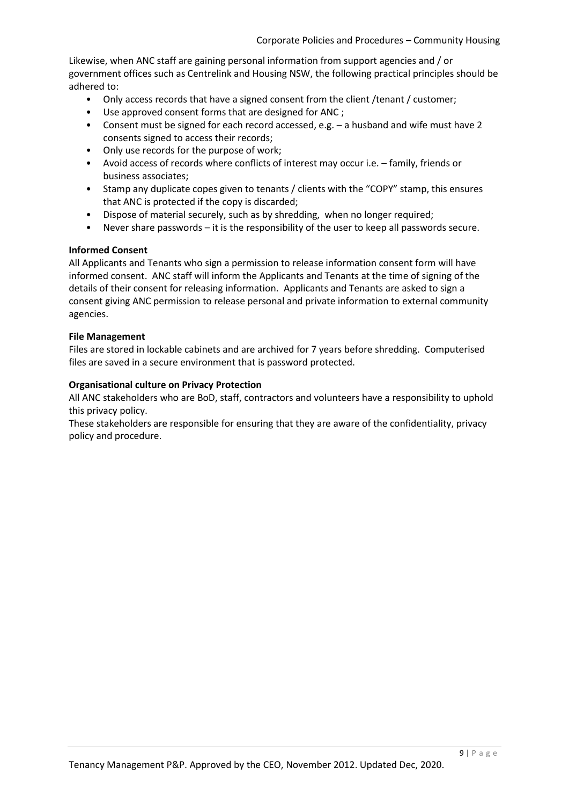Likewise, when ANC staff are gaining personal information from support agencies and / or government offices such as Centrelink and Housing NSW, the following practical principles should be adhered to:

- Only access records that have a signed consent from the client / tenant / customer;
- Use approved consent forms that are designed for ANC ;
- Consent must be signed for each record accessed, e.g. a husband and wife must have 2 consents signed to access their records;
- Only use records for the purpose of work;
- Avoid access of records where conflicts of interest may occur i.e. family, friends or business associates;
- Stamp any duplicate copes given to tenants / clients with the "COPY" stamp, this ensures that ANC is protected if the copy is discarded;
- Dispose of material securely, such as by shredding, when no longer required;
- Never share passwords it is the responsibility of the user to keep all passwords secure.

#### **Informed Consent**

All Applicants and Tenants who sign a permission to release information consent form will have informed consent. ANC staff will inform the Applicants and Tenants at the time of signing of the details of their consent for releasing information. Applicants and Tenants are asked to sign a consent giving ANC permission to release personal and private information to external community agencies.

#### **File Management**

Files are stored in lockable cabinets and are archived for 7 years before shredding. Computerised files are saved in a secure environment that is password protected.

#### **Organisational culture on Privacy Protection**

All ANC stakeholders who are BoD, staff, contractors and volunteers have a responsibility to uphold this privacy policy.

These stakeholders are responsible for ensuring that they are aware of the confidentiality, privacy policy and procedure.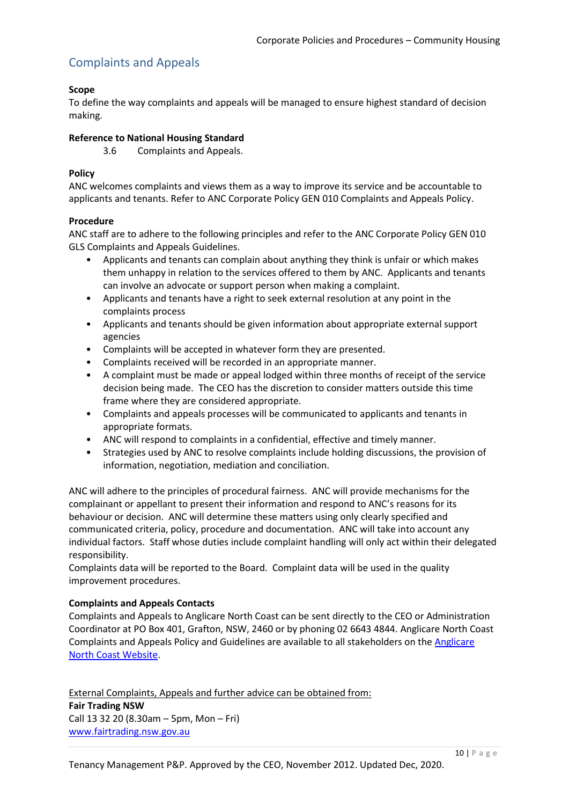# Complaints and Appeals

### **Scope**

To define the way complaints and appeals will be managed to ensure highest standard of decision making.

#### **Reference to National Housing Standard**

3.6 Complaints and Appeals.

#### **Policy**

ANC welcomes complaints and views them as a way to improve its service and be accountable to applicants and tenants. Refer to ANC Corporate Policy GEN 010 Complaints and Appeals Policy.

#### **Procedure**

ANC staff are to adhere to the following principles and refer to the ANC Corporate Policy GEN 010 GLS Complaints and Appeals Guidelines.

- Applicants and tenants can complain about anything they think is unfair or which makes them unhappy in relation to the services offered to them by ANC. Applicants and tenants can involve an advocate or support person when making a complaint.
- Applicants and tenants have a right to seek external resolution at any point in the complaints process
- Applicants and tenants should be given information about appropriate external support agencies
- Complaints will be accepted in whatever form they are presented.
- Complaints received will be recorded in an appropriate manner.
- A complaint must be made or appeal lodged within three months of receipt of the service decision being made. The CEO has the discretion to consider matters outside this time frame where they are considered appropriate.
- Complaints and appeals processes will be communicated to applicants and tenants in appropriate formats.
- ANC will respond to complaints in a confidential, effective and timely manner.
- Strategies used by ANC to resolve complaints include holding discussions, the provision of information, negotiation, mediation and conciliation.

ANC will adhere to the principles of procedural fairness. ANC will provide mechanisms for the complainant or appellant to present their information and respond to ANC's reasons for its behaviour or decision. ANC will determine these matters using only clearly specified and communicated criteria, policy, procedure and documentation. ANC will take into account any individual factors. Staff whose duties include complaint handling will only act within their delegated responsibility.

Complaints data will be reported to the Board. Complaint data will be used in the quality improvement procedures.

### **Complaints and Appeals Contacts**

Complaints and Appeals to Anglicare North Coast can be sent directly to the CEO or Administration Coordinator at PO Box 401, Grafton, NSW, 2460 or by phoning 02 6643 4844. Anglicare North Coast Complaints and Appeals Policy and Guidelines are available to all stakeholders on the [Anglicare](https://anglicarenorthcoast.org.au/contact/#complaints-appeals)  [North Coast Website.](https://anglicarenorthcoast.org.au/contact/#complaints-appeals)

External Complaints, Appeals and further advice can be obtained from: **Fair Trading NSW** Call 13 32 20 (8.30am – 5pm, Mon – Fri) [www.fairtrading.nsw.gov.au](http://www.fairtrading.nsw.gov.au/)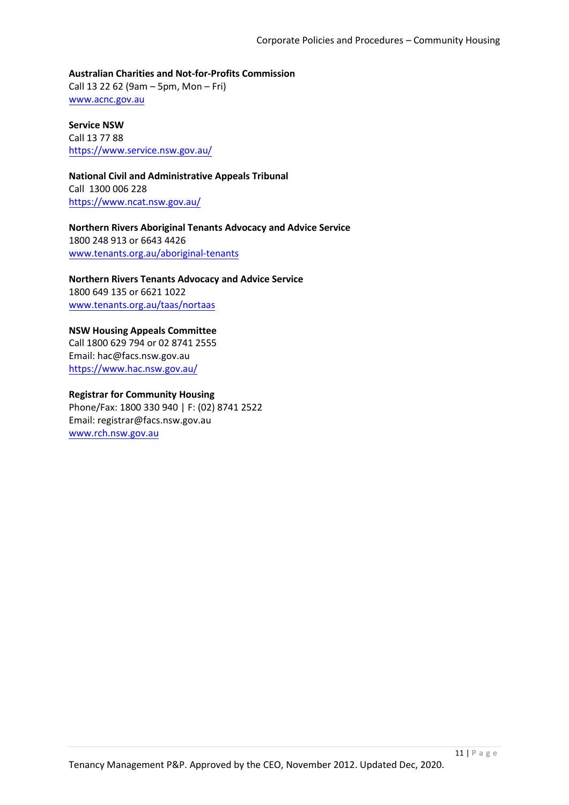**Australian Charities and Not-for-Profits Commission**  Call 13 22 62 (9am – 5pm, Mon – Fri) [www.acnc.gov.au](http://www.acnc.gov.au/)

**Service NSW**  Call 13 77 88 <https://www.service.nsw.gov.au/>

**National Civil and Administrative Appeals Tribunal**  Call 1300 006 228 <https://www.ncat.nsw.gov.au/>

**Northern Rivers Aboriginal Tenants Advocacy and Advice Service**  1800 248 913 or 6643 4426 [www.tenants.org.au/aboriginal-tenants](http://www.tenants.org.au/aboriginal-tenants)

**Northern Rivers Tenants Advocacy and Advice Service**  1800 649 135 or 6621 1022 [www.tenants.org.au/taas/nortaas](http://www.tenants.org.au/taas/nortaas)

**NSW Housing Appeals Committee** Call 1800 629 794 or 02 8741 2555 Email: hac@facs.nsw.gov.au https://www.hac.nsw.gov.au/

### **Registrar for Community Housing**

Phone/Fax: 1800 330 940 | F: (02) 8741 2522 Email: registrar@facs.nsw.gov.au www.rch.nsw.gov.au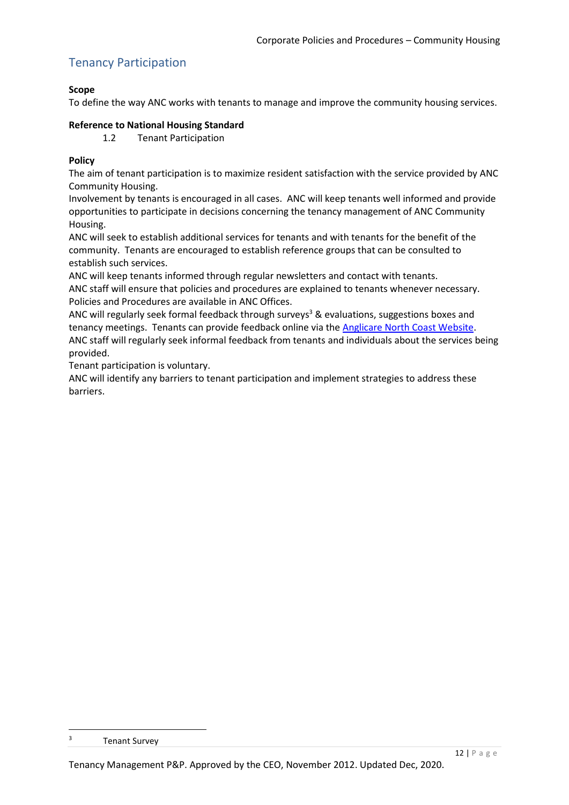# Tenancy Participation

### **Scope**

To define the way ANC works with tenants to manage and improve the community housing services.

### **Reference to National Housing Standard**

1.2 Tenant Participation

### **Policy**

The aim of tenant participation is to maximize resident satisfaction with the service provided by ANC Community Housing.

Involvement by tenants is encouraged in all cases. ANC will keep tenants well informed and provide opportunities to participate in decisions concerning the tenancy management of ANC Community Housing.

ANC will seek to establish additional services for tenants and with tenants for the benefit of the community. Tenants are encouraged to establish reference groups that can be consulted to establish such services.

ANC will keep tenants informed through regular newsletters and contact with tenants.

ANC staff will ensure that policies and procedures are explained to tenants whenever necessary. Policies and Procedures are available in ANC Offices.

ANC will regularly seek formal feedback through surveys<sup>3</sup> & evaluations, suggestions boxes and tenancy meetings. Tenants can provide feedback online via the [Anglicare North Coast Website.](https://anglicarenorthcoast.org.au/contact/#get-in-touch) ANC staff will regularly seek informal feedback from tenants and individuals about the services being provided.

Tenant participation is voluntary.

ANC will identify any barriers to tenant participation and implement strategies to address these barriers.

 $\overline{\mathbf{3}}$ **Tenant Survey**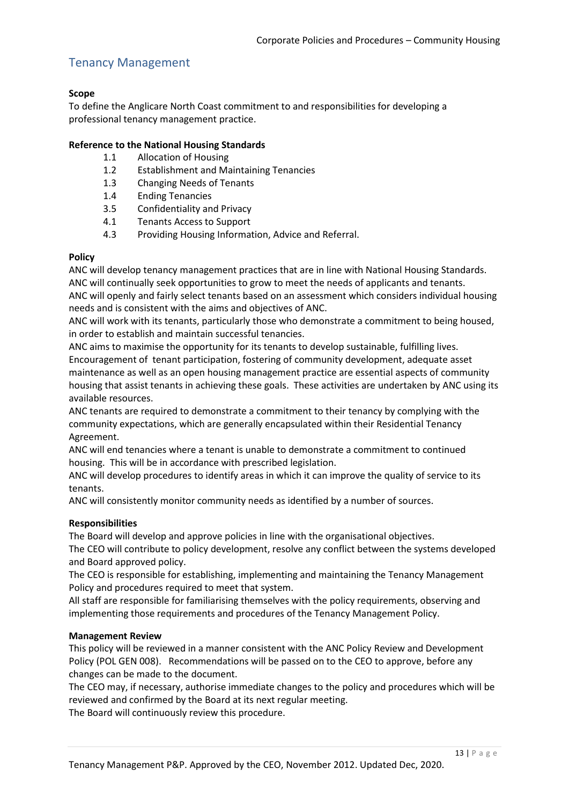# Tenancy Management

### **Scope**

To define the Anglicare North Coast commitment to and responsibilities for developing a professional tenancy management practice.

#### **Reference to the National Housing Standards**

- 1.1 Allocation of Housing
- 1.2 Establishment and Maintaining Tenancies
- 1.3 Changing Needs of Tenants
- 1.4 Ending Tenancies
- 3.5 Confidentiality and Privacy
- 4.1 Tenants Access to Support
- 4.3 Providing Housing Information, Advice and Referral.

#### **Policy**

ANC will develop tenancy management practices that are in line with National Housing Standards. ANC will continually seek opportunities to grow to meet the needs of applicants and tenants. ANC will openly and fairly select tenants based on an assessment which considers individual housing needs and is consistent with the aims and objectives of ANC.

ANC will work with its tenants, particularly those who demonstrate a commitment to being housed, in order to establish and maintain successful tenancies.

ANC aims to maximise the opportunity for its tenants to develop sustainable, fulfilling lives. Encouragement of tenant participation, fostering of community development, adequate asset maintenance as well as an open housing management practice are essential aspects of community housing that assist tenants in achieving these goals. These activities are undertaken by ANC using its available resources.

ANC tenants are required to demonstrate a commitment to their tenancy by complying with the community expectations, which are generally encapsulated within their Residential Tenancy Agreement.

ANC will end tenancies where a tenant is unable to demonstrate a commitment to continued housing. This will be in accordance with prescribed legislation.

ANC will develop procedures to identify areas in which it can improve the quality of service to its tenants.

ANC will consistently monitor community needs as identified by a number of sources.

### **Responsibilities**

The Board will develop and approve policies in line with the organisational objectives. The CEO will contribute to policy development, resolve any conflict between the systems developed and Board approved policy.

The CEO is responsible for establishing, implementing and maintaining the Tenancy Management Policy and procedures required to meet that system.

All staff are responsible for familiarising themselves with the policy requirements, observing and implementing those requirements and procedures of the Tenancy Management Policy.

#### **Management Review**

This policy will be reviewed in a manner consistent with the ANC Policy Review and Development Policy (POL GEN 008). Recommendations will be passed on to the CEO to approve, before any changes can be made to the document.

The CEO may, if necessary, authorise immediate changes to the policy and procedures which will be reviewed and confirmed by the Board at its next regular meeting.

The Board will continuously review this procedure.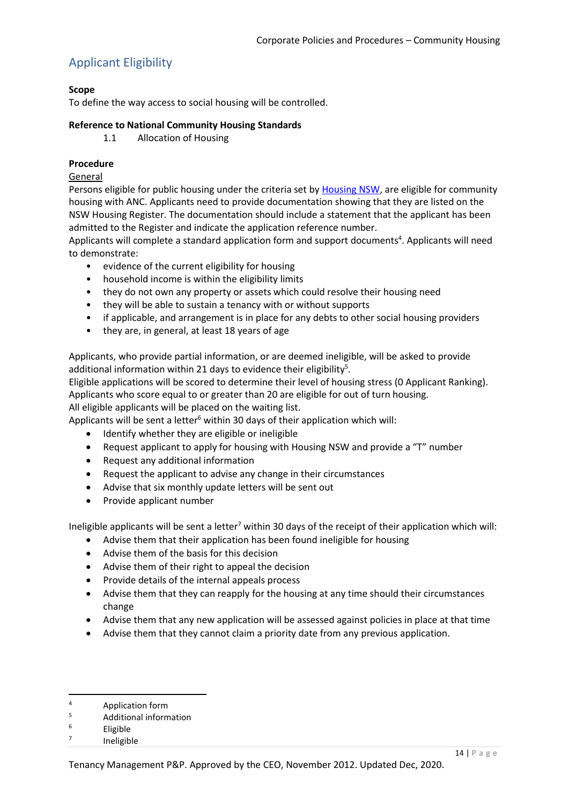# <span id="page-13-0"></span>Applicant Eligibility

### **Scope**

To define the way access to social housing will be controlled.

#### **Reference to National Community Housing Standards**

1.1 Allocation of Housing

#### **Procedure**

#### General

Persons eligible for public housing under the criteria set by [Housing NSW,](https://www.facs.nsw.gov.au/housing/policies/eligibility-social-housing-policy) are eligible for community housing with ANC. Applicants need to provide documentation showing that they are listed on the NSW Housing Register. The documentation should include a statement that the applicant has been admitted to the Register and indicate the application reference number.

Applicants will complete a standard application form and support documents<sup>4</sup>. Applicants will need to demonstrate:

- evidence of the current eligibility for housing
- household income is within the eligibility limits
- they do not own any property or assets which could resolve their housing need
- they will be able to sustain a tenancy with or without supports
- if applicable, and arrangement is in place for any debts to other social housing providers
- they are, in general, at least 18 years of age

Applicants, who provide partial information, or are deemed ineligible, will be asked to provide additional information within 21 days to evidence their eligibility<sup>5</sup>.

Eligible applications will be scored to determine their level of housing stress [\(0](#page-15-0) [Applicant Ranking\)](#page-15-0). Applicants who score equal to or greater than 20 are eligible for out of turn housing.

All eligible applicants will be placed on the waiting list.

Applicants will be sent a letter $6$  within 30 days of their application which will:

- Identify whether they are eligible or ineligible
- Request applicant to apply for housing with Housing NSW and provide a "T" number
- Request any additional information
- Request the applicant to advise any change in their circumstances
- Advise that six monthly update letters will be sent out
- Provide applicant number

Ineligible applicants will be sent a letter<sup>7</sup> within 30 days of the receipt of their application which will:

- Advise them that their application has been found ineligible for housing
- Advise them of the basis for this decision
- Advise them of their right to appeal the decision
- Provide details of the internal appeals process
- Advise them that they can reapply for the housing at any time should their circumstances change
- Advise them that any new application will be assessed against policies in place at that time
- Advise them that they cannot claim a priority date from any previous application.

**<sup>.</sup>**  $4$  Application form

 $5$  Additional information

**Eligible** 

<sup>7</sup> Ineligible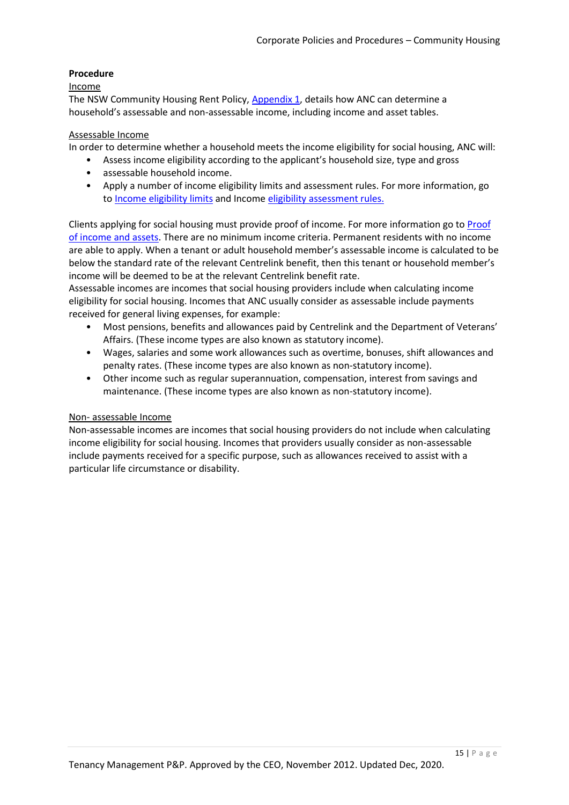### **Procedure**

#### Income

The NSW Community Housing Rent Policy[, Appendix 1,](https://www.facs.nsw.gov.au/__data/assets/pdf_file/0003/333282/NSW-Community-Housing-Rent-Policy.pdf) details how ANC can determine a household's assessable and non-assessable income, including income and asset tables.

#### Assessable Income

In order to determine whether a household meets the income eligibility for social housing, ANC will:

- Assess income eligibility according to the applicant's household size, type and gross
- assessable household income.
- Apply a number of income eligibility limits and assessment rules. For more information, go to [Income eligibility limits](https://www.facs.nsw.gov.au/housing/policies/social-housing-eligibility-allocations-policy-supplement#iel) and Income [eligibility assessment rules.](https://www.facs.nsw.gov.au/housing)

Clients applying for social housing must provide proof of income. For more information go to [Proof](https://www.facs.nsw.gov.au/housing/policies/social-housing-eligibility-allocations-policy-supplement#poiaa)  [of income and assets.](https://www.facs.nsw.gov.au/housing/policies/social-housing-eligibility-allocations-policy-supplement#poiaa) There are no minimum income criteria. Permanent residents with no income are able to apply. When a tenant or adult household member's assessable income is calculated to be below the standard rate of the relevant Centrelink benefit, then this tenant or household member's income will be deemed to be at the relevant Centrelink benefit rate.

Assessable incomes are incomes that social housing providers include when calculating income eligibility for social housing. Incomes that ANC usually consider as assessable include payments received for general living expenses, for example:

- Most pensions, benefits and allowances paid by Centrelink and the Department of Veterans' Affairs. (These income types are also known as statutory income).
- Wages, salaries and some work allowances such as overtime, bonuses, shift allowances and penalty rates. (These income types are also known as non-statutory income).
- Other income such as regular superannuation, compensation, interest from savings and maintenance. (These income types are also known as non-statutory income).

### Non- assessable Income

Non-assessable incomes are incomes that social housing providers do not include when calculating income eligibility for social housing. Incomes that providers usually consider as non-assessable include payments received for a specific purpose, such as allowances received to assist with a particular life circumstance or disability.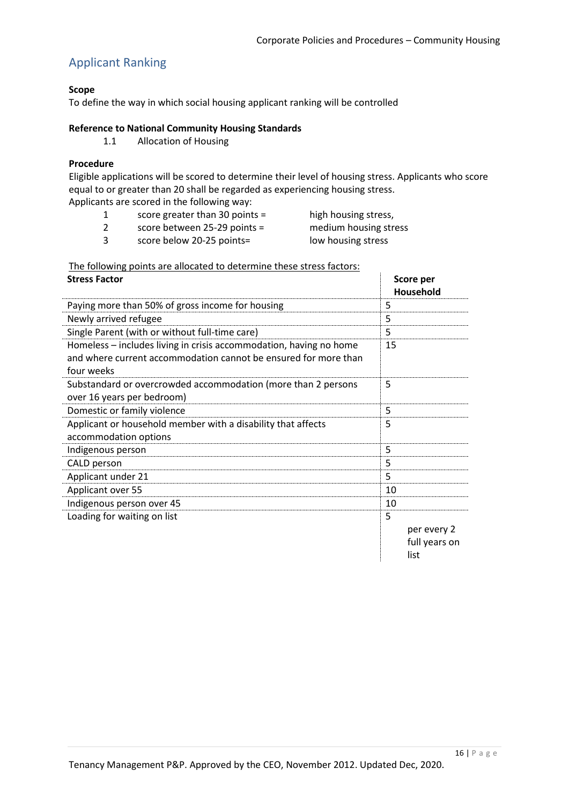# <span id="page-15-0"></span>Applicant Ranking

### **Scope**

To define the way in which social housing applicant ranking will be controlled

#### **Reference to National Community Housing Standards**

1.1 Allocation of Housing

#### **Procedure**

Eligible applications will be scored to determine their level of housing stress. Applicants who score equal to or greater than 20 shall be regarded as experiencing housing stress. Applicants are scored in the following way:

- 1 score greater than 30 points = high housing stress,
- 2 score between 25-29 points = medium housing stress
- 
- 3 score below 20-25 points= low housing stress
- 

| The following points are allocated to determine these stress factors: |
|-----------------------------------------------------------------------|
|-----------------------------------------------------------------------|

| <b>Stress Factor</b>                                                                                                                                | Score per<br>Household                    |
|-----------------------------------------------------------------------------------------------------------------------------------------------------|-------------------------------------------|
| Paying more than 50% of gross income for housing                                                                                                    | 5                                         |
| Newly arrived refugee                                                                                                                               | 5                                         |
| Single Parent (with or without full-time care)                                                                                                      | 5                                         |
| Homeless – includes living in crisis accommodation, having no home<br>and where current accommodation cannot be ensured for more than<br>four weeks | 15                                        |
| Substandard or overcrowded accommodation (more than 2 persons<br>over 16 years per bedroom)                                                         | 5                                         |
| Domestic or family violence                                                                                                                         | 5                                         |
| Applicant or household member with a disability that affects<br>accommodation options                                                               | 5                                         |
| Indigenous person                                                                                                                                   | 5                                         |
| CALD person                                                                                                                                         | 5                                         |
| Applicant under 21                                                                                                                                  | 5                                         |
| Applicant over 55                                                                                                                                   | 10                                        |
| Indigenous person over 45                                                                                                                           | 10                                        |
| Loading for waiting on list                                                                                                                         | 5<br>per every 2<br>full years on<br>list |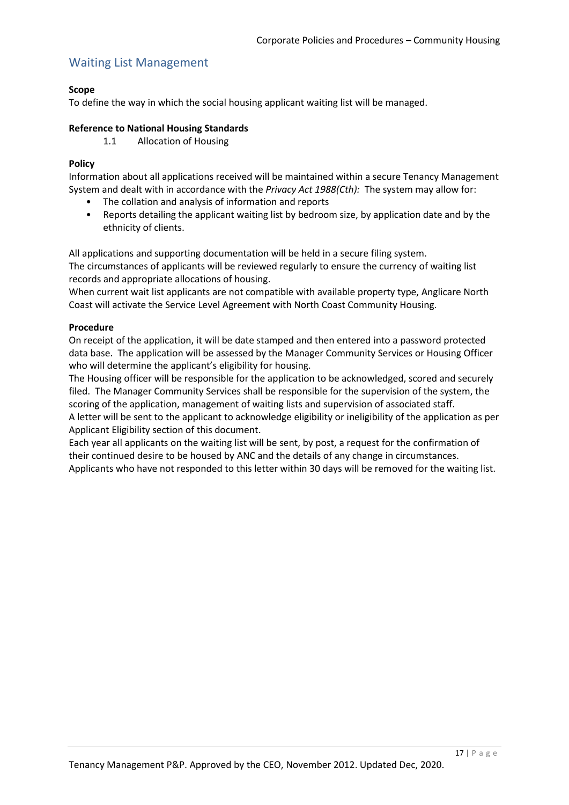# Waiting List Management

### **Scope**

To define the way in which the social housing applicant waiting list will be managed.

#### **Reference to National Housing Standards**

1.1 Allocation of Housing

#### **Policy**

Information about all applications received will be maintained within a secure Tenancy Management System and dealt with in accordance with the *Privacy Act 1988(Cth):* The system may allow for:

- The collation and analysis of information and reports
- Reports detailing the applicant waiting list by bedroom size, by application date and by the ethnicity of clients.

All applications and supporting documentation will be held in a secure filing system. The circumstances of applicants will be reviewed regularly to ensure the currency of waiting list records and appropriate allocations of housing.

When current wait list applicants are not compatible with available property type, Anglicare North Coast will activate the Service Level Agreement with North Coast Community Housing.

#### **Procedure**

On receipt of the application, it will be date stamped and then entered into a password protected data base. The application will be assessed by the Manager Community Services or Housing Officer who will determine the applicant's eligibility for housing.

The Housing officer will be responsible for the application to be acknowledged, scored and securely filed. The Manager Community Services shall be responsible for the supervision of the system, the scoring of the application, management of waiting lists and supervision of associated staff. A letter will be sent to the applicant to acknowledge eligibility or ineligibility of the application as per

[Applicant Eligibility](#page-13-0) section of this document. Each year all applicants on the waiting list will be sent, by post, a request for the confirmation of their continued desire to be housed by ANC and the details of any change in circumstances. Applicants who have not responded to this letter within 30 days will be removed for the waiting list.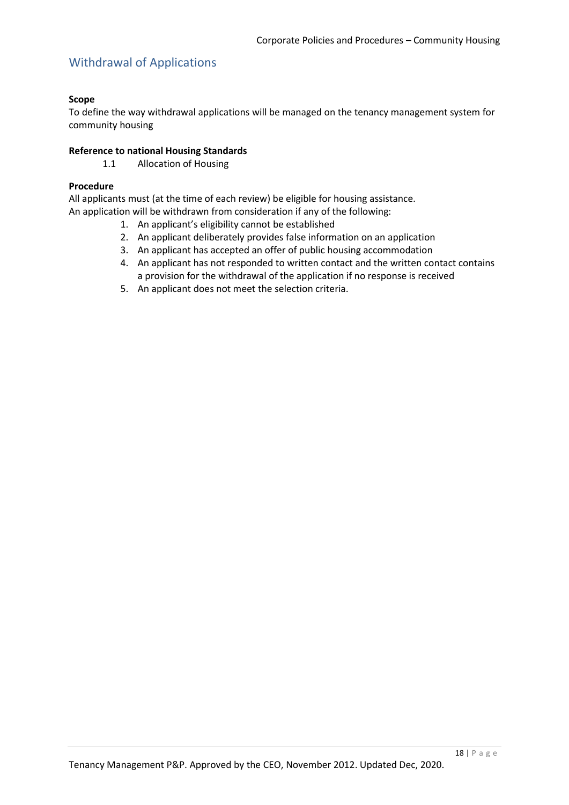# Withdrawal of Applications

### **Scope**

To define the way withdrawal applications will be managed on the tenancy management system for community housing

### **Reference to national Housing Standards**

1.1 Allocation of Housing

### **Procedure**

All applicants must (at the time of each review) be eligible for housing assistance. An application will be withdrawn from consideration if any of the following:

- 1. An applicant's eligibility cannot be established
- 2. An applicant deliberately provides false information on an application
- 3. An applicant has accepted an offer of public housing accommodation
- 4. An applicant has not responded to written contact and the written contact contains a provision for the withdrawal of the application if no response is received
- 5. An applicant does not meet the selection criteria.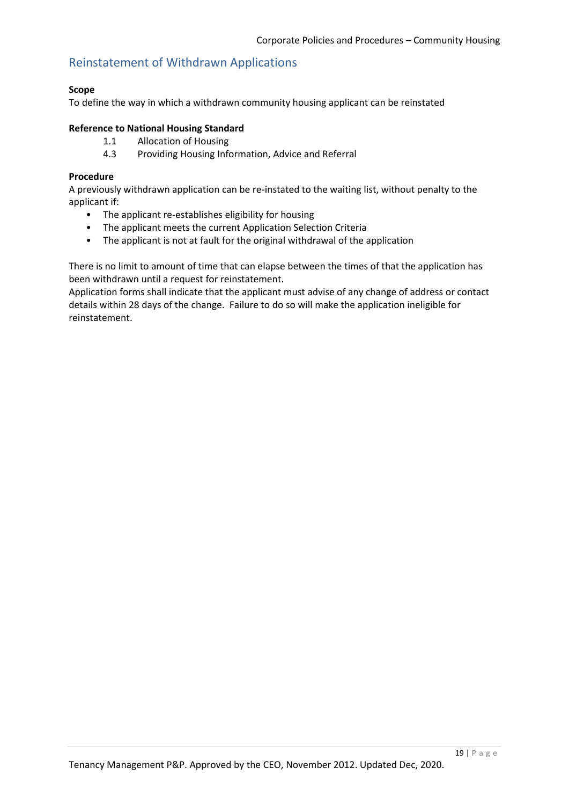### Reinstatement of Withdrawn Applications

#### **Scope**

To define the way in which a withdrawn community housing applicant can be reinstated

#### **Reference to National Housing Standard**

- 1.1 Allocation of Housing
- 4.3 Providing Housing Information, Advice and Referral

#### **Procedure**

A previously withdrawn application can be re-instated to the waiting list, without penalty to the applicant if:

- The applicant re-establishes eligibility for housing
- The applicant meets the current Application Selection Criteria
- The applicant is not at fault for the original withdrawal of the application

There is no limit to amount of time that can elapse between the times of that the application has been withdrawn until a request for reinstatement.

Application forms shall indicate that the applicant must advise of any change of address or contact details within 28 days of the change. Failure to do so will make the application ineligible for reinstatement.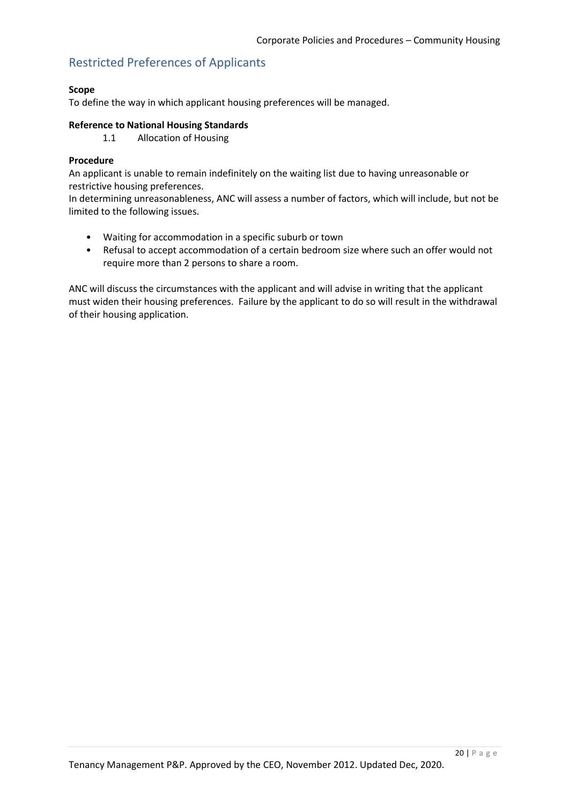# Restricted Preferences of Applicants

#### **Scope**

To define the way in which applicant housing preferences will be managed.

#### **Reference to National Housing Standards**

1.1 Allocation of Housing

#### **Procedure**

An applicant is unable to remain indefinitely on the waiting list due to having unreasonable or restrictive housing preferences.

In determining unreasonableness, ANC will assess a number of factors, which will include, but not be limited to the following issues.

- Waiting for accommodation in a specific suburb or town
- Refusal to accept accommodation of a certain bedroom size where such an offer would not require more than 2 persons to share a room.

ANC will discuss the circumstances with the applicant and will advise in writing that the applicant must widen their housing preferences. Failure by the applicant to do so will result in the withdrawal of their housing application.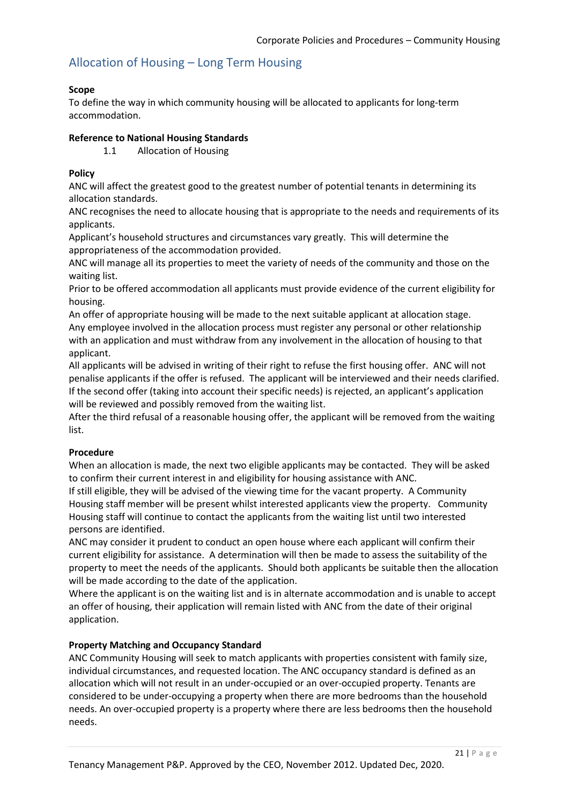# Allocation of Housing – Long Term Housing

### **Scope**

To define the way in which community housing will be allocated to applicants for long-term accommodation.

### **Reference to National Housing Standards**

1.1 Allocation of Housing

### **Policy**

ANC will affect the greatest good to the greatest number of potential tenants in determining its allocation standards.

ANC recognises the need to allocate housing that is appropriate to the needs and requirements of its applicants.

Applicant's household structures and circumstances vary greatly. This will determine the appropriateness of the accommodation provided.

ANC will manage all its properties to meet the variety of needs of the community and those on the waiting list.

Prior to be offered accommodation all applicants must provide evidence of the current eligibility for housing.

An offer of appropriate housing will be made to the next suitable applicant at allocation stage. Any employee involved in the allocation process must register any personal or other relationship with an application and must withdraw from any involvement in the allocation of housing to that applicant.

All applicants will be advised in writing of their right to refuse the first housing offer. ANC will not penalise applicants if the offer is refused. The applicant will be interviewed and their needs clarified. If the second offer (taking into account their specific needs) is rejected, an applicant's application will be reviewed and possibly removed from the waiting list.

After the third refusal of a reasonable housing offer, the applicant will be removed from the waiting list.

### **Procedure**

When an allocation is made, the next two eligible applicants may be contacted. They will be asked to confirm their current interest in and eligibility for housing assistance with ANC.

If still eligible, they will be advised of the viewing time for the vacant property. A Community Housing staff member will be present whilst interested applicants view the property. Community Housing staff will continue to contact the applicants from the waiting list until two interested persons are identified.

ANC may consider it prudent to conduct an open house where each applicant will confirm their current eligibility for assistance. A determination will then be made to assess the suitability of the property to meet the needs of the applicants. Should both applicants be suitable then the allocation will be made according to the date of the application.

Where the applicant is on the waiting list and is in alternate accommodation and is unable to accept an offer of housing, their application will remain listed with ANC from the date of their original application.

### **Property Matching and Occupancy Standard**

ANC Community Housing will seek to match applicants with properties consistent with family size, individual circumstances, and requested location. The ANC occupancy standard is defined as an allocation which will not result in an under-occupied or an over-occupied property. Tenants are considered to be under-occupying a property when there are more bedrooms than the household needs. An over-occupied property is a property where there are less bedrooms then the household needs.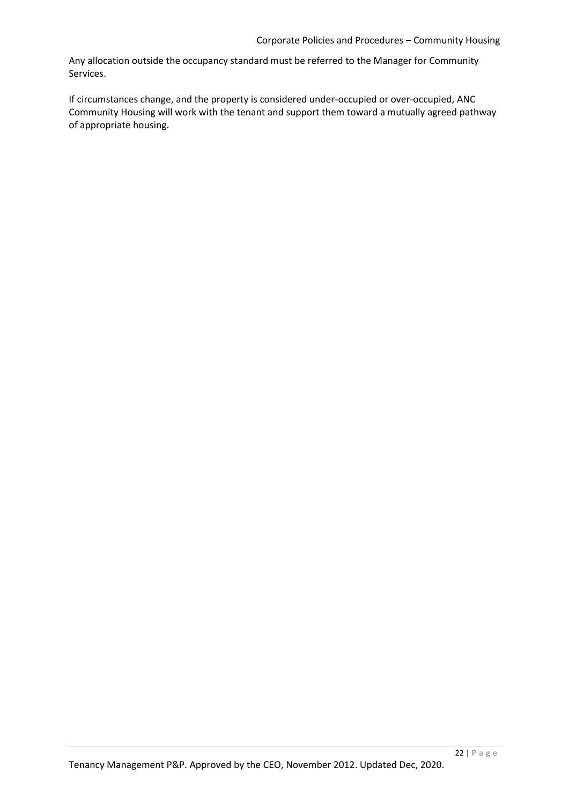Any allocation outside the occupancy standard must be referred to the Manager for Community Services.

If circumstances change, and the property is considered under-occupied or over-occupied, ANC Community Housing will work with the tenant and support them toward a mutually agreed pathway of appropriate housing.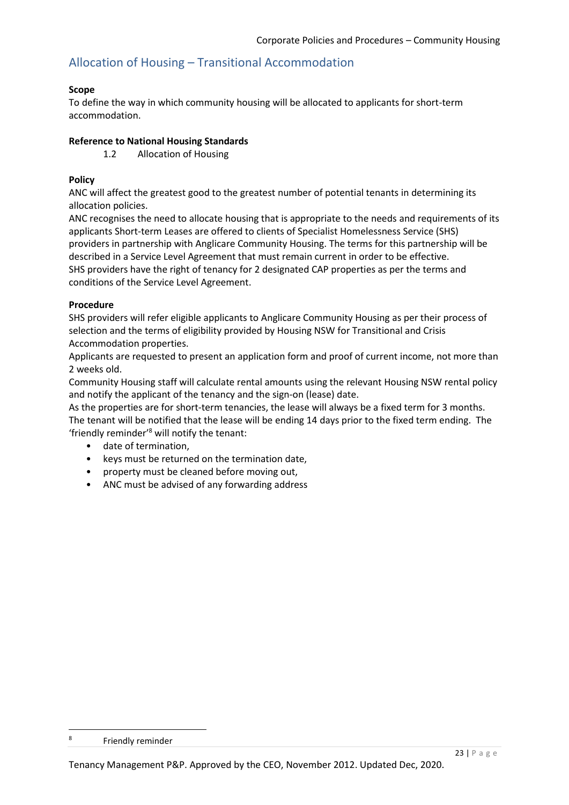# Allocation of Housing – Transitional Accommodation

#### **Scope**

To define the way in which community housing will be allocated to applicants for short-term accommodation.

#### **Reference to National Housing Standards**

1.2 Allocation of Housing

### **Policy**

ANC will affect the greatest good to the greatest number of potential tenants in determining its allocation policies.

ANC recognises the need to allocate housing that is appropriate to the needs and requirements of its applicants Short-term Leases are offered to clients of Specialist Homelessness Service (SHS) providers in partnership with Anglicare Community Housing. The terms for this partnership will be described in a Service Level Agreement that must remain current in order to be effective. SHS providers have the right of tenancy for 2 designated CAP properties as per the terms and conditions of the Service Level Agreement.

#### **Procedure**

SHS providers will refer eligible applicants to Anglicare Community Housing as per their process of selection and the terms of eligibility provided by Housing NSW for Transitional and Crisis Accommodation properties.

Applicants are requested to present an application form and proof of current income, not more than 2 weeks old.

Community Housing staff will calculate rental amounts using the relevant Housing NSW rental policy and notify the applicant of the tenancy and the sign-on (lease) date.

As the properties are for short-term tenancies, the lease will always be a fixed term for 3 months. The tenant will be notified that the lease will be ending 14 days prior to the fixed term ending. The 'friendly reminder' <sup>8</sup> will notify the tenant:

- date of termination,
- keys must be returned on the termination date,
- property must be cleaned before moving out,
- ANC must be advised of any forwarding address

1

<sup>8</sup> Friendly reminder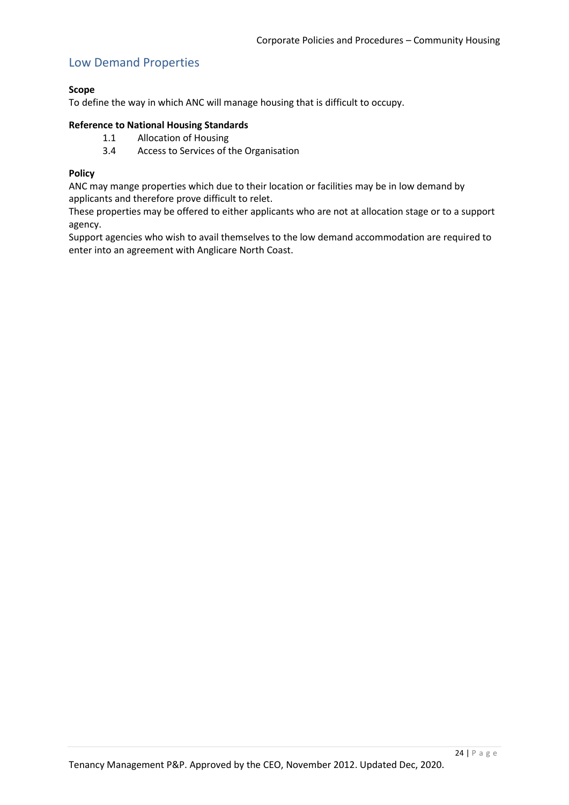### Low Demand Properties

#### **Scope**

To define the way in which ANC will manage housing that is difficult to occupy.

#### **Reference to National Housing Standards**

- 1.1 Allocation of Housing
- 3.4 Access to Services of the Organisation

#### **Policy**

ANC may mange properties which due to their location or facilities may be in low demand by applicants and therefore prove difficult to relet.

These properties may be offered to either applicants who are not at allocation stage or to a support agency.

Support agencies who wish to avail themselves to the low demand accommodation are required to enter into an agreement with Anglicare North Coast.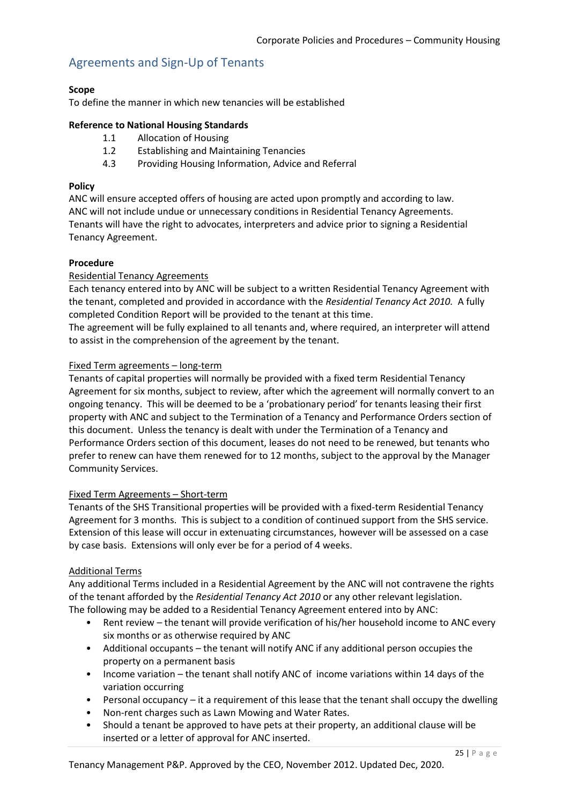## Agreements and Sign-Up of Tenants

#### **Scope**

To define the manner in which new tenancies will be established

#### **Reference to National Housing Standards**

- 1.1 Allocation of Housing
- 1.2 Establishing and Maintaining Tenancies
- 4.3 Providing Housing Information, Advice and Referral

#### **Policy**

ANC will ensure accepted offers of housing are acted upon promptly and according to law. ANC will not include undue or unnecessary conditions in Residential Tenancy Agreements. Tenants will have the right to advocates, interpreters and advice prior to signing a Residential Tenancy Agreement.

#### **Procedure**

#### Residential Tenancy Agreements

Each tenancy entered into by ANC will be subject to a written Residential Tenancy Agreement with the tenant, completed and provided in accordance with the *Residential Tenancy Act 2010.* A fully completed Condition Report will be provided to the tenant at this time.

The agreement will be fully explained to all tenants and, where required, an interpreter will attend to assist in the comprehension of the agreement by the tenant.

#### Fixed Term agreements – long-term

Tenants of capital properties will normally be provided with a fixed term Residential Tenancy Agreement for six months, subject to review, after which the agreement will normally convert to an ongoing tenancy. This will be deemed to be a 'probationary period' for tenants leasing their first property with ANC and subject to the Termination of a Tenancy and Performance Orders section of this document. Unless the tenancy is dealt with under the Termination of a Tenancy and Performance Orders section of this document, leases do not need to be renewed, but tenants who prefer to renew can have them renewed for to 12 months, subject to the approval by the Manager Community Services.

#### Fixed Term Agreements – Short-term

Tenants of the SHS Transitional properties will be provided with a fixed-term Residential Tenancy Agreement for 3 months. This is subject to a condition of continued support from the SHS service. Extension of this lease will occur in extenuating circumstances, however will be assessed on a case by case basis. Extensions will only ever be for a period of 4 weeks.

#### Additional Terms

Any additional Terms included in a Residential Agreement by the ANC will not contravene the rights of the tenant afforded by the *Residential Tenancy Act 2010* or any other relevant legislation. The following may be added to a Residential Tenancy Agreement entered into by ANC:

- Rent review the tenant will provide verification of his/her household income to ANC every six months or as otherwise required by ANC
- Additional occupants the tenant will notify ANC if any additional person occupies the property on a permanent basis
- Income variation the tenant shall notify ANC of income variations within 14 days of the variation occurring
- Personal occupancy it a requirement of this lease that the tenant shall occupy the dwelling
- Non-rent charges such as Lawn Mowing and Water Rates.
- Should a tenant be approved to have pets at their property, an additional clause will be inserted or a letter of approval for ANC inserted.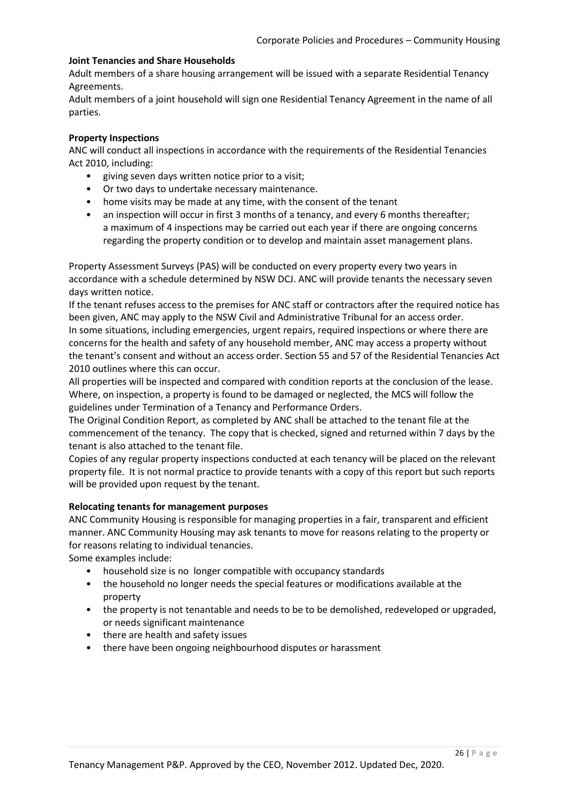#### **Joint Tenancies and Share Households**

Adult members of a share housing arrangement will be issued with a separate Residential Tenancy Agreements.

Adult members of a joint household will sign one Residential Tenancy Agreement in the name of all parties.

#### **Property Inspections**

ANC will conduct all inspections in accordance with the requirements of the Residential Tenancies Act 2010, including:

- giving seven days written notice prior to a visit;
- Or two days to undertake necessary maintenance.
- home visits may be made at any time, with the consent of the tenant
- an inspection will occur in first 3 months of a tenancy, and every 6 months thereafter; a maximum of 4 inspections may be carried out each year if there are ongoing concerns regarding the property condition or to develop and maintain asset management plans.

Property Assessment Surveys (PAS) will be conducted on every property every two years in accordance with a schedule determined by NSW DCJ. ANC will provide tenants the necessary seven days written notice.

If the tenant refuses access to the premises for ANC staff or contractors after the required notice has been given, ANC may apply to the NSW Civil and Administrative Tribunal for an access order. In some situations, including emergencies, urgent repairs, required inspections or where there are concerns for the health and safety of any household member, ANC may access a property without the tenant's consent and without an access order. Section 55 and 57 of the Residential Tenancies Act 2010 outlines where this can occur.

All properties will be inspected and compared with condition reports at the conclusion of the lease. Where, on inspection, a property is found to be damaged or neglected, the MCS will follow the guidelines under Termination of a Tenancy and Performance Orders.

The Original Condition Report, as completed by ANC shall be attached to the tenant file at the commencement of the tenancy. The copy that is checked, signed and returned within 7 days by the tenant is also attached to the tenant file.

Copies of any regular property inspections conducted at each tenancy will be placed on the relevant property file. It is not normal practice to provide tenants with a copy of this report but such reports will be provided upon request by the tenant.

#### **Relocating tenants for management purposes**

ANC Community Housing is responsible for managing properties in a fair, transparent and efficient manner. ANC Community Housing may ask tenants to move for reasons relating to the property or for reasons relating to individual tenancies.

Some examples include:

- household size is no longer compatible with occupancy standards
- the household no longer needs the special features or modifications available at the property
- the property is not tenantable and needs to be to be demolished, redeveloped or upgraded, or needs significant maintenance
- there are health and safety issues
- there have been ongoing neighbourhood disputes or harassment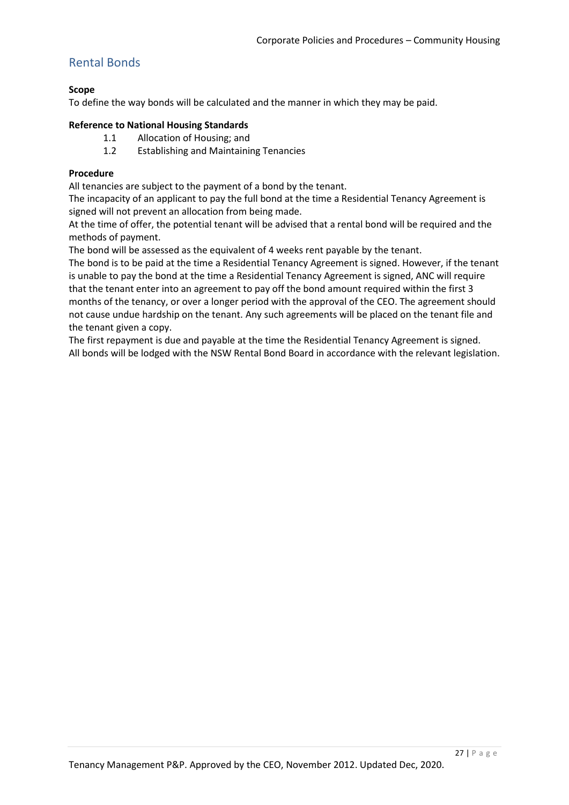# Rental Bonds

### **Scope**

To define the way bonds will be calculated and the manner in which they may be paid.

#### **Reference to National Housing Standards**

- 1.1 Allocation of Housing; and
- 1.2 Establishing and Maintaining Tenancies

### **Procedure**

All tenancies are subject to the payment of a bond by the tenant.

The incapacity of an applicant to pay the full bond at the time a Residential Tenancy Agreement is signed will not prevent an allocation from being made.

At the time of offer, the potential tenant will be advised that a rental bond will be required and the methods of payment.

The bond will be assessed as the equivalent of 4 weeks rent payable by the tenant.

The bond is to be paid at the time a Residential Tenancy Agreement is signed. However, if the tenant is unable to pay the bond at the time a Residential Tenancy Agreement is signed, ANC will require that the tenant enter into an agreement to pay off the bond amount required within the first 3 months of the tenancy, or over a longer period with the approval of the CEO. The agreement should not cause undue hardship on the tenant. Any such agreements will be placed on the tenant file and the tenant given a copy.

The first repayment is due and payable at the time the Residential Tenancy Agreement is signed. All bonds will be lodged with the NSW Rental Bond Board in accordance with the relevant legislation.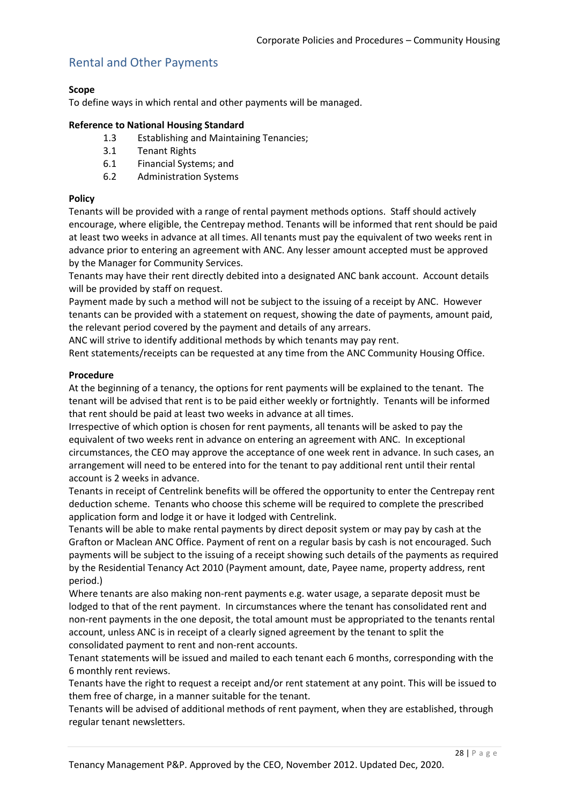# Rental and Other Payments

#### **Scope**

To define ways in which rental and other payments will be managed.

#### **Reference to National Housing Standard**

- 1.3 Establishing and Maintaining Tenancies;
- 3.1 Tenant Rights
- 6.1 Financial Systems; and
- 6.2 Administration Systems

#### **Policy**

Tenants will be provided with a range of rental payment methods options. Staff should actively encourage, where eligible, the Centrepay method. Tenants will be informed that rent should be paid at least two weeks in advance at all times. All tenants must pay the equivalent of two weeks rent in advance prior to entering an agreement with ANC. Any lesser amount accepted must be approved by the Manager for Community Services.

Tenants may have their rent directly debited into a designated ANC bank account. Account details will be provided by staff on request.

Payment made by such a method will not be subject to the issuing of a receipt by ANC. However tenants can be provided with a statement on request, showing the date of payments, amount paid, the relevant period covered by the payment and details of any arrears.

ANC will strive to identify additional methods by which tenants may pay rent.

Rent statements/receipts can be requested at any time from the ANC Community Housing Office.

#### **Procedure**

At the beginning of a tenancy, the options for rent payments will be explained to the tenant. The tenant will be advised that rent is to be paid either weekly or fortnightly. Tenants will be informed that rent should be paid at least two weeks in advance at all times.

Irrespective of which option is chosen for rent payments, all tenants will be asked to pay the equivalent of two weeks rent in advance on entering an agreement with ANC. In exceptional circumstances, the CEO may approve the acceptance of one week rent in advance. In such cases, an arrangement will need to be entered into for the tenant to pay additional rent until their rental account is 2 weeks in advance.

Tenants in receipt of Centrelink benefits will be offered the opportunity to enter the Centrepay rent deduction scheme. Tenants who choose this scheme will be required to complete the prescribed application form and lodge it or have it lodged with Centrelink.

Tenants will be able to make rental payments by direct deposit system or may pay by cash at the Grafton or Maclean ANC Office. Payment of rent on a regular basis by cash is not encouraged. Such payments will be subject to the issuing of a receipt showing such details of the payments as required by the Residential Tenancy Act 2010 (Payment amount, date, Payee name, property address, rent period.)

Where tenants are also making non-rent payments e.g. water usage, a separate deposit must be lodged to that of the rent payment. In circumstances where the tenant has consolidated rent and non-rent payments in the one deposit, the total amount must be appropriated to the tenants rental account, unless ANC is in receipt of a clearly signed agreement by the tenant to split the consolidated payment to rent and non-rent accounts.

Tenant statements will be issued and mailed to each tenant each 6 months, corresponding with the 6 monthly rent reviews.

Tenants have the right to request a receipt and/or rent statement at any point. This will be issued to them free of charge, in a manner suitable for the tenant.

Tenants will be advised of additional methods of rent payment, when they are established, through regular tenant newsletters.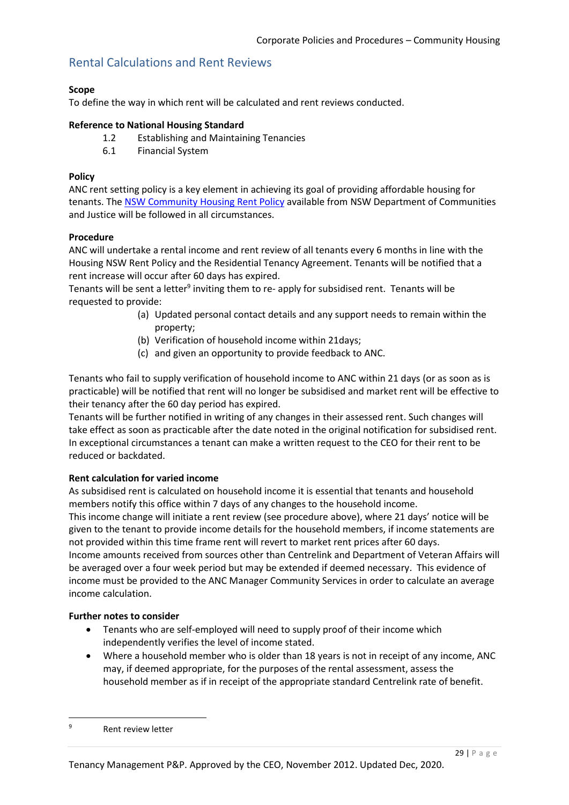# Rental Calculations and Rent Reviews

### **Scope**

To define the way in which rent will be calculated and rent reviews conducted.

#### **Reference to National Housing Standard**

- 1.2 Establishing and Maintaining Tenancies
- 6.1 Financial System

#### **Policy**

ANC rent setting policy is a key element in achieving its goal of providing affordable housing for tenants. The [NSW Community Housing Rent Policy](https://www.facs.nsw.gov.au/__data/assets/pdf_file/0003/333282/NSW-Community-Housing-Rent-Policy.pdf) available from NSW Department of Communities and Justice will be followed in all circumstances.

#### **Procedure**

ANC will undertake a rental income and rent review of all tenants every 6 months in line with the Housing NSW Rent Policy and the Residential Tenancy Agreement. Tenants will be notified that a rent increase will occur after 60 days has expired.

Tenants will be sent a letter<sup>9</sup> inviting them to re- apply for subsidised rent. Tenants will be requested to provide:

- (a) Updated personal contact details and any support needs to remain within the property;
- (b) Verification of household income within 21days;
- (c) and given an opportunity to provide feedback to ANC.

Tenants who fail to supply verification of household income to ANC within 21 days (or as soon as is practicable) will be notified that rent will no longer be subsidised and market rent will be effective to their tenancy after the 60 day period has expired.

Tenants will be further notified in writing of any changes in their assessed rent. Such changes will take effect as soon as practicable after the date noted in the original notification for subsidised rent. In exceptional circumstances a tenant can make a written request to the CEO for their rent to be reduced or backdated.

### **Rent calculation for varied income**

As subsidised rent is calculated on household income it is essential that tenants and household members notify this office within 7 days of any changes to the household income.

This income change will initiate a rent review (see procedure above), where 21 days' notice will be given to the tenant to provide income details for the household members, if income statements are not provided within this time frame rent will revert to market rent prices after 60 days.

Income amounts received from sources other than Centrelink and Department of Veteran Affairs will be averaged over a four week period but may be extended if deemed necessary. This evidence of income must be provided to the ANC Manager Community Services in order to calculate an average income calculation.

#### **Further notes to consider**

- Tenants who are self-employed will need to supply proof of their income which independently verifies the level of income stated.
- Where a household member who is older than 18 years is not in receipt of any income, ANC may, if deemed appropriate, for the purposes of the rental assessment, assess the household member as if in receipt of the appropriate standard Centrelink rate of benefit.

 $\overline{a}$ 

<sup>9</sup> Rent review letter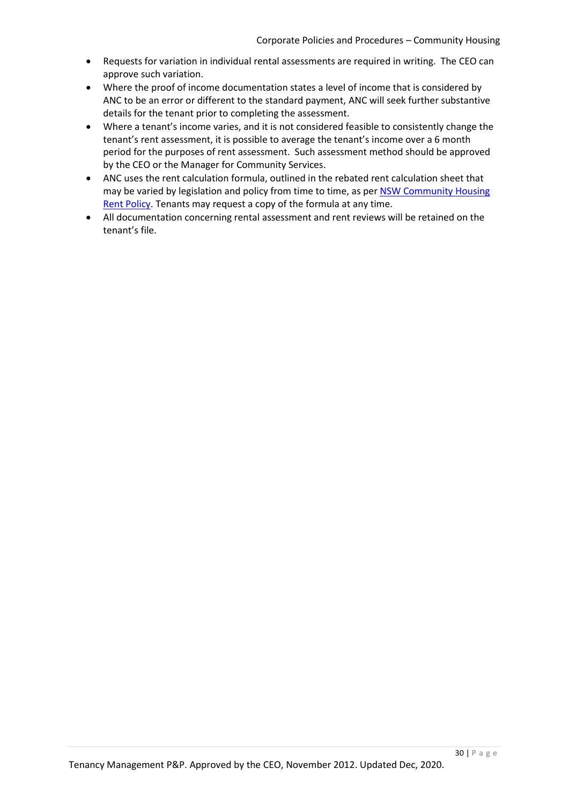- Requests for variation in individual rental assessments are required in writing. The CEO can approve such variation.
- Where the proof of income documentation states a level of income that is considered by ANC to be an error or different to the standard payment, ANC will seek further substantive details for the tenant prior to completing the assessment.
- Where a tenant's income varies, and it is not considered feasible to consistently change the tenant's rent assessment, it is possible to average the tenant's income over a 6 month period for the purposes of rent assessment. Such assessment method should be approved by the CEO or the Manager for Community Services.
- ANC uses the rent calculation formula, outlined in the rebated rent calculation sheet that may be varied by legislation and policy from time to time, as per NSW Community Housing [Rent Policy.](https://www.facs.nsw.gov.au/__data/assets/pdf_file/0003/333282/NSW-Community-Housing-Rent-Policy.pdf) Tenants may request a copy of the formula at any time.
- All documentation concerning rental assessment and rent reviews will be retained on the tenant's file.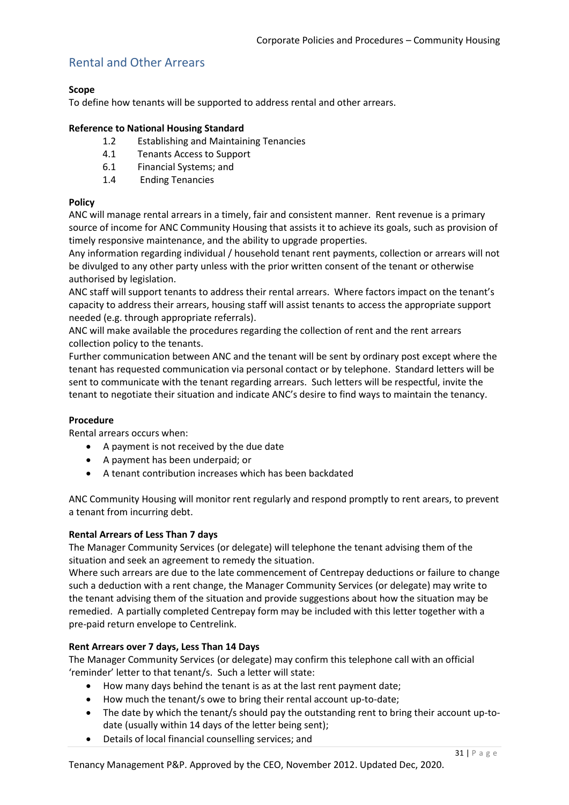# Rental and Other Arrears

#### **Scope**

To define how tenants will be supported to address rental and other arrears.

#### **Reference to National Housing Standard**

- 1.2 Establishing and Maintaining Tenancies
- 4.1 Tenants Access to Support
- 6.1 Financial Systems; and
- 1.4 Ending Tenancies

#### **Policy**

ANC will manage rental arrears in a timely, fair and consistent manner. Rent revenue is a primary source of income for ANC Community Housing that assists it to achieve its goals, such as provision of timely responsive maintenance, and the ability to upgrade properties.

Any information regarding individual / household tenant rent payments, collection or arrears will not be divulged to any other party unless with the prior written consent of the tenant or otherwise authorised by legislation.

ANC staff will support tenants to address their rental arrears. Where factors impact on the tenant's capacity to address their arrears, housing staff will assist tenants to access the appropriate support needed (e.g. through appropriate referrals).

ANC will make available the procedures regarding the collection of rent and the rent arrears collection policy to the tenants.

Further communication between ANC and the tenant will be sent by ordinary post except where the tenant has requested communication via personal contact or by telephone. Standard letters will be sent to communicate with the tenant regarding arrears. Such letters will be respectful, invite the tenant to negotiate their situation and indicate ANC's desire to find ways to maintain the tenancy.

#### **Procedure**

Rental arrears occurs when:

- A payment is not received by the due date
- A payment has been underpaid; or
- A tenant contribution increases which has been backdated

ANC Community Housing will monitor rent regularly and respond promptly to rent arears, to prevent a tenant from incurring debt.

#### **Rental Arrears of Less Than 7 days**

The Manager Community Services (or delegate) will telephone the tenant advising them of the situation and seek an agreement to remedy the situation.

Where such arrears are due to the late commencement of Centrepay deductions or failure to change such a deduction with a rent change, the Manager Community Services (or delegate) may write to the tenant advising them of the situation and provide suggestions about how the situation may be remedied. A partially completed Centrepay form may be included with this letter together with a pre-paid return envelope to Centrelink.

### **Rent Arrears over 7 days, Less Than 14 Days**

The Manager Community Services (or delegate) may confirm this telephone call with an official 'reminder' letter to that tenant/s. Such a letter will state:

- How many days behind the tenant is as at the last rent payment date;
- How much the tenant/s owe to bring their rental account up-to-date;
- The date by which the tenant/s should pay the outstanding rent to bring their account up-todate (usually within 14 days of the letter being sent);
- Details of local financial counselling services; and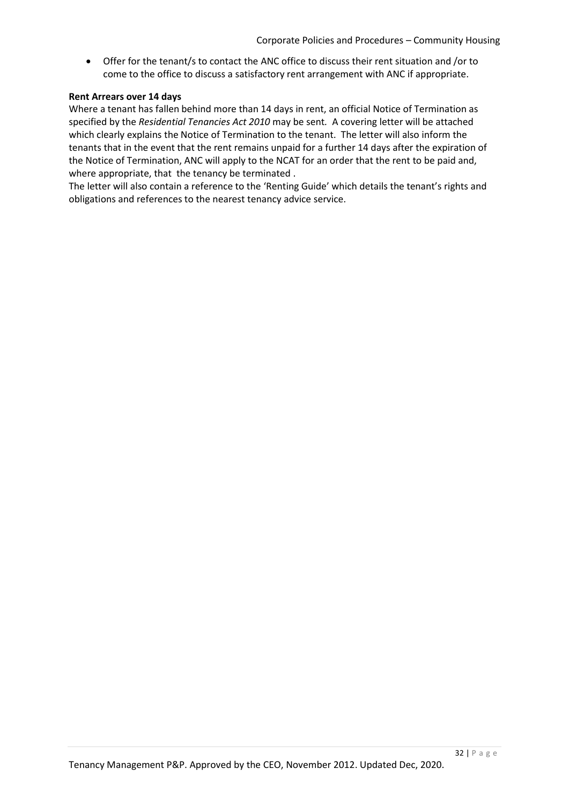Offer for the tenant/s to contact the ANC office to discuss their rent situation and /or to come to the office to discuss a satisfactory rent arrangement with ANC if appropriate.

#### **Rent Arrears over 14 days**

Where a tenant has fallen behind more than 14 days in rent, an official Notice of Termination as specified by the *Residential Tenancies Act 2010* may be sent*.* A covering letter will be attached which clearly explains the Notice of Termination to the tenant. The letter will also inform the tenants that in the event that the rent remains unpaid for a further 14 days after the expiration of the Notice of Termination, ANC will apply to the NCAT for an order that the rent to be paid and, where appropriate, that the tenancy be terminated.

The letter will also contain a reference to the 'Renting Guide' which details the tenant's rights and obligations and references to the nearest tenancy advice service.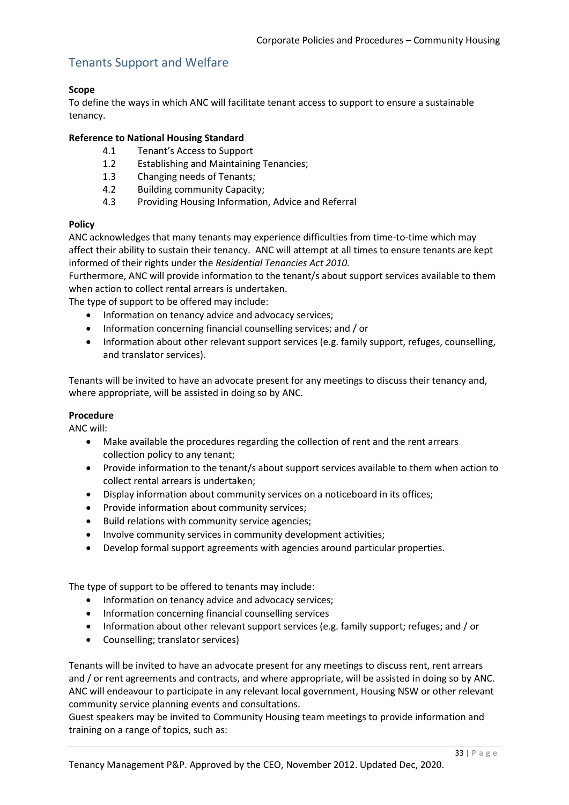# Tenants Support and Welfare

#### **Scope**

To define the ways in which ANC will facilitate tenant access to support to ensure a sustainable tenancy.

#### **Reference to National Housing Standard**

- 4.1 Tenant's Access to Support
- 1.2 Establishing and Maintaining Tenancies;
- 1.3 Changing needs of Tenants;
- 4.2 Building community Capacity;
- 4.3 Providing Housing Information, Advice and Referral

#### **Policy**

ANC acknowledges that many tenants may experience difficulties from time-to-time which may affect their ability to sustain their tenancy. ANC will attempt at all times to ensure tenants are kept informed of their rights under the *Residential Tenancies Act 2010.*

Furthermore, ANC will provide information to the tenant/s about support services available to them when action to collect rental arrears is undertaken.

The type of support to be offered may include:

- Information on tenancy advice and advocacy services;
- Information concerning financial counselling services; and / or
- Information about other relevant support services (e.g. family support, refuges, counselling, and translator services).

Tenants will be invited to have an advocate present for any meetings to discuss their tenancy and, where appropriate, will be assisted in doing so by ANC.

#### **Procedure**

ANC will:

- Make available the procedures regarding the collection of rent and the rent arrears collection policy to any tenant;
- Provide information to the tenant/s about support services available to them when action to collect rental arrears is undertaken;
- Display information about community services on a noticeboard in its offices;
- Provide information about community services;
- Build relations with community service agencies;
- Involve community services in community development activities;
- Develop formal support agreements with agencies around particular properties.

The type of support to be offered to tenants may include:

- Information on tenancy advice and advocacy services;
- Information concerning financial counselling services
- Information about other relevant support services (e.g. family support; refuges; and / or
- Counselling; translator services)

Tenants will be invited to have an advocate present for any meetings to discuss rent, rent arrears and / or rent agreements and contracts, and where appropriate, will be assisted in doing so by ANC. ANC will endeavour to participate in any relevant local government, Housing NSW or other relevant community service planning events and consultations.

Guest speakers may be invited to Community Housing team meetings to provide information and training on a range of topics, such as: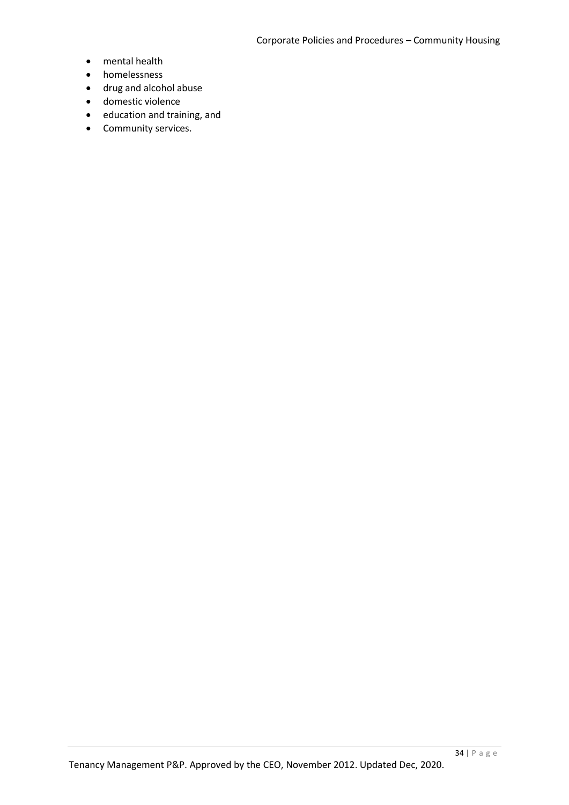- mental health
- homelessness
- drug and alcohol abuse
- domestic violence
- education and training, and
- Community services.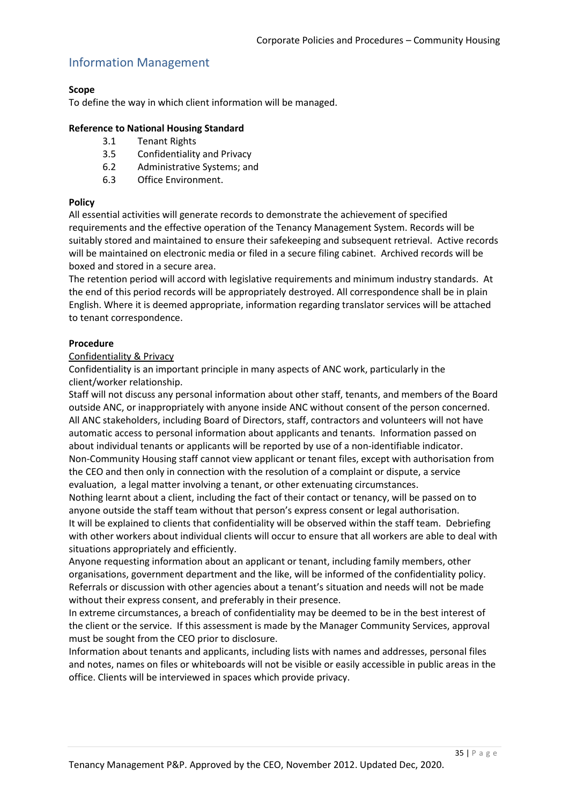## Information Management

### **Scope**

To define the way in which client information will be managed.

#### **Reference to National Housing Standard**

- 3.1 Tenant Rights
- 3.5 Confidentiality and Privacy
- 6.2 Administrative Systems; and
- 6.3 Office Environment.

#### **Policy**

All essential activities will generate records to demonstrate the achievement of specified requirements and the effective operation of the Tenancy Management System. Records will be suitably stored and maintained to ensure their safekeeping and subsequent retrieval. Active records will be maintained on electronic media or filed in a secure filing cabinet. Archived records will be boxed and stored in a secure area.

The retention period will accord with legislative requirements and minimum industry standards. At the end of this period records will be appropriately destroyed. All correspondence shall be in plain English. Where it is deemed appropriate, information regarding translator services will be attached to tenant correspondence.

### **Procedure**

#### Confidentiality & Privacy

Confidentiality is an important principle in many aspects of ANC work, particularly in the client/worker relationship.

Staff will not discuss any personal information about other staff, tenants, and members of the Board outside ANC, or inappropriately with anyone inside ANC without consent of the person concerned. All ANC stakeholders, including Board of Directors, staff, contractors and volunteers will not have automatic access to personal information about applicants and tenants. Information passed on about individual tenants or applicants will be reported by use of a non-identifiable indicator. Non-Community Housing staff cannot view applicant or tenant files, except with authorisation from the CEO and then only in connection with the resolution of a complaint or dispute, a service evaluation, a legal matter involving a tenant, or other extenuating circumstances.

Nothing learnt about a client, including the fact of their contact or tenancy, will be passed on to anyone outside the staff team without that person's express consent or legal authorisation. It will be explained to clients that confidentiality will be observed within the staff team. Debriefing

with other workers about individual clients will occur to ensure that all workers are able to deal with situations appropriately and efficiently.

Anyone requesting information about an applicant or tenant, including family members, other organisations, government department and the like, will be informed of the confidentiality policy. Referrals or discussion with other agencies about a tenant's situation and needs will not be made without their express consent, and preferably in their presence.

In extreme circumstances, a breach of confidentiality may be deemed to be in the best interest of the client or the service. If this assessment is made by the Manager Community Services, approval must be sought from the CEO prior to disclosure.

Information about tenants and applicants, including lists with names and addresses, personal files and notes, names on files or whiteboards will not be visible or easily accessible in public areas in the office. Clients will be interviewed in spaces which provide privacy.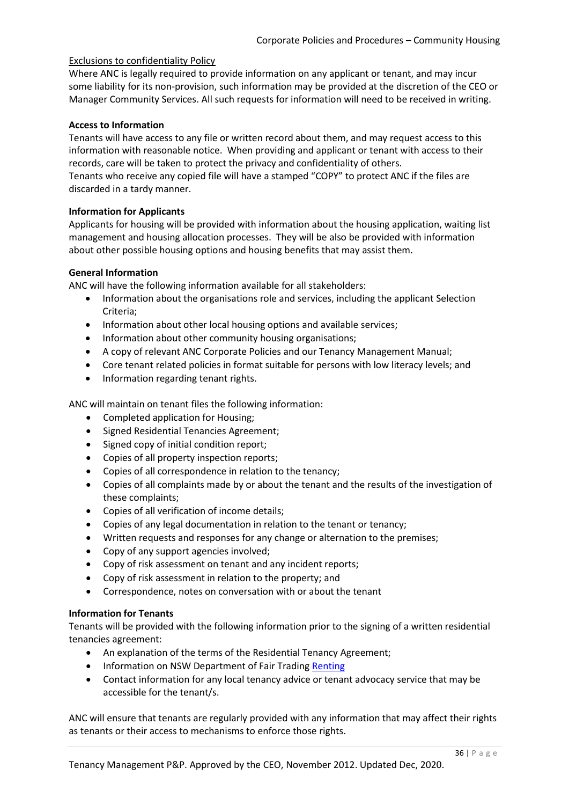#### Exclusions to confidentiality Policy

Where ANC is legally required to provide information on any applicant or tenant, and may incur some liability for its non-provision, such information may be provided at the discretion of the CEO or Manager Community Services. All such requests for information will need to be received in writing.

#### **Access to Information**

Tenants will have access to any file or written record about them, and may request access to this information with reasonable notice. When providing and applicant or tenant with access to their records, care will be taken to protect the privacy and confidentiality of others.

Tenants who receive any copied file will have a stamped "COPY" to protect ANC if the files are discarded in a tardy manner.

#### **Information for Applicants**

Applicants for housing will be provided with information about the housing application, waiting list management and housing allocation processes. They will be also be provided with information about other possible housing options and housing benefits that may assist them.

#### **General Information**

ANC will have the following information available for all stakeholders:

- Information about the organisations role and services, including the applicant Selection Criteria;
- Information about other local housing options and available services;
- Information about other community housing organisations;
- A copy of relevant ANC Corporate Policies and our Tenancy Management Manual;
- Core tenant related policies in format suitable for persons with low literacy levels; and
- Information regarding tenant rights.

ANC will maintain on tenant files the following information:

- Completed application for Housing;
- Signed Residential Tenancies Agreement;
- Signed copy of initial condition report;
- Copies of all property inspection reports;
- Copies of all correspondence in relation to the tenancy;
- Copies of all complaints made by or about the tenant and the results of the investigation of these complaints;
- Copies of all verification of income details;
- Copies of any legal documentation in relation to the tenant or tenancy;
- Written requests and responses for any change or alternation to the premises;
- Copy of any support agencies involved;
- Copy of risk assessment on tenant and any incident reports;
- Copy of risk assessment in relation to the property; and
- Correspondence, notes on conversation with or about the tenant

#### **Information for Tenants**

Tenants will be provided with the following information prior to the signing of a written residential tenancies agreement:

- An explanation of the terms of the Residential Tenancy Agreement;
- Information on NSW Department of Fair Trading [Renting](https://www.fairtrading.nsw.gov.au/housing-and-property/renting)
- Contact information for any local tenancy advice or tenant advocacy service that may be accessible for the tenant/s.

ANC will ensure that tenants are regularly provided with any information that may affect their rights as tenants or their access to mechanisms to enforce those rights.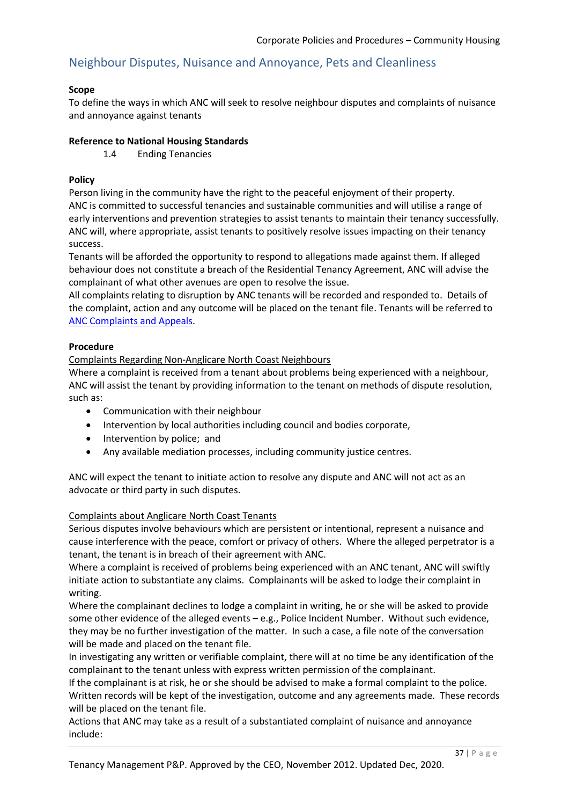# Neighbour Disputes, Nuisance and Annoyance, Pets and Cleanliness

#### **Scope**

To define the ways in which ANC will seek to resolve neighbour disputes and complaints of nuisance and annoyance against tenants

#### **Reference to National Housing Standards**

1.4 Ending Tenancies

### **Policy**

Person living in the community have the right to the peaceful enjoyment of their property. ANC is committed to successful tenancies and sustainable communities and will utilise a range of early interventions and prevention strategies to assist tenants to maintain their tenancy successfully. ANC will, where appropriate, assist tenants to positively resolve issues impacting on their tenancy success.

Tenants will be afforded the opportunity to respond to allegations made against them. If alleged behaviour does not constitute a breach of the Residential Tenancy Agreement, ANC will advise the complainant of what other avenues are open to resolve the issue.

All complaints relating to disruption by ANC tenants will be recorded and responded to. Details of the complaint, action and any outcome will be placed on the tenant file. Tenants will be referred to [ANC Complaints and Appeals.](https://anglicarenorthcoast.org.au/contact/#complaints-appeals)

#### **Procedure**

Complaints Regarding Non-Anglicare North Coast Neighbours

Where a complaint is received from a tenant about problems being experienced with a neighbour, ANC will assist the tenant by providing information to the tenant on methods of dispute resolution, such as:

- Communication with their neighbour
- Intervention by local authorities including council and bodies corporate,
- Intervention by police; and
- Any available mediation processes, including community justice centres.

ANC will expect the tenant to initiate action to resolve any dispute and ANC will not act as an advocate or third party in such disputes.

#### Complaints about Anglicare North Coast Tenants

Serious disputes involve behaviours which are persistent or intentional, represent a nuisance and cause interference with the peace, comfort or privacy of others. Where the alleged perpetrator is a tenant, the tenant is in breach of their agreement with ANC.

Where a complaint is received of problems being experienced with an ANC tenant, ANC will swiftly initiate action to substantiate any claims. Complainants will be asked to lodge their complaint in writing.

Where the complainant declines to lodge a complaint in writing, he or she will be asked to provide some other evidence of the alleged events – e.g., Police Incident Number. Without such evidence, they may be no further investigation of the matter. In such a case, a file note of the conversation will be made and placed on the tenant file.

In investigating any written or verifiable complaint, there will at no time be any identification of the complainant to the tenant unless with express written permission of the complainant.

If the complainant is at risk, he or she should be advised to make a formal complaint to the police. Written records will be kept of the investigation, outcome and any agreements made. These records will be placed on the tenant file.

Actions that ANC may take as a result of a substantiated complaint of nuisance and annoyance include: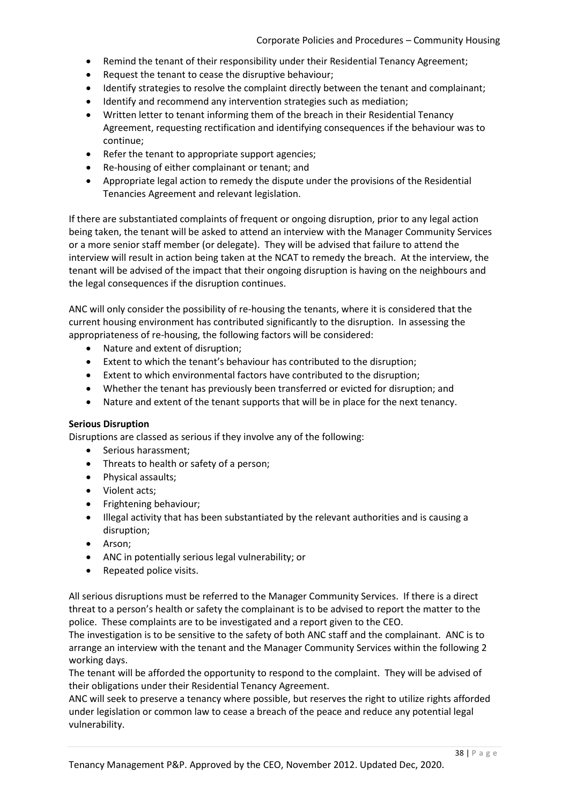- Remind the tenant of their responsibility under their Residential Tenancy Agreement;
- Request the tenant to cease the disruptive behaviour;
- Identify strategies to resolve the complaint directly between the tenant and complainant;
- Identify and recommend any intervention strategies such as mediation;
- Written letter to tenant informing them of the breach in their Residential Tenancy Agreement, requesting rectification and identifying consequences if the behaviour was to continue;
- Refer the tenant to appropriate support agencies;
- Re-housing of either complainant or tenant; and
- Appropriate legal action to remedy the dispute under the provisions of the Residential Tenancies Agreement and relevant legislation.

If there are substantiated complaints of frequent or ongoing disruption, prior to any legal action being taken, the tenant will be asked to attend an interview with the Manager Community Services or a more senior staff member (or delegate). They will be advised that failure to attend the interview will result in action being taken at the NCAT to remedy the breach. At the interview, the tenant will be advised of the impact that their ongoing disruption is having on the neighbours and the legal consequences if the disruption continues.

ANC will only consider the possibility of re-housing the tenants, where it is considered that the current housing environment has contributed significantly to the disruption. In assessing the appropriateness of re-housing, the following factors will be considered:

- Nature and extent of disruption;
- Extent to which the tenant's behaviour has contributed to the disruption;
- Extent to which environmental factors have contributed to the disruption;
- Whether the tenant has previously been transferred or evicted for disruption; and
- Nature and extent of the tenant supports that will be in place for the next tenancy.

#### **Serious Disruption**

Disruptions are classed as serious if they involve any of the following:

- Serious harassment;
- Threats to health or safety of a person;
- Physical assaults:
- Violent acts:
- Frightening behaviour;
- Illegal activity that has been substantiated by the relevant authorities and is causing a disruption;
- Arson:
- ANC in potentially serious legal vulnerability; or
- Repeated police visits.

All serious disruptions must be referred to the Manager Community Services. If there is a direct threat to a person's health or safety the complainant is to be advised to report the matter to the police. These complaints are to be investigated and a report given to the CEO.

The investigation is to be sensitive to the safety of both ANC staff and the complainant. ANC is to arrange an interview with the tenant and the Manager Community Services within the following 2 working days.

The tenant will be afforded the opportunity to respond to the complaint. They will be advised of their obligations under their Residential Tenancy Agreement.

ANC will seek to preserve a tenancy where possible, but reserves the right to utilize rights afforded under legislation or common law to cease a breach of the peace and reduce any potential legal vulnerability.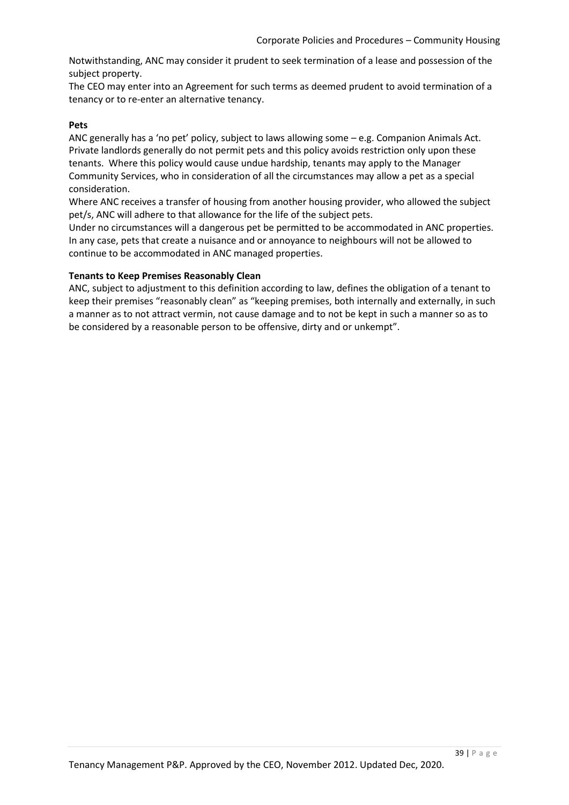Notwithstanding, ANC may consider it prudent to seek termination of a lease and possession of the subject property.

The CEO may enter into an Agreement for such terms as deemed prudent to avoid termination of a tenancy or to re-enter an alternative tenancy.

#### **Pets**

ANC generally has a 'no pet' policy, subject to laws allowing some – e.g. Companion Animals Act. Private landlords generally do not permit pets and this policy avoids restriction only upon these tenants. Where this policy would cause undue hardship, tenants may apply to the Manager Community Services, who in consideration of all the circumstances may allow a pet as a special consideration.

Where ANC receives a transfer of housing from another housing provider, who allowed the subject pet/s, ANC will adhere to that allowance for the life of the subject pets.

Under no circumstances will a dangerous pet be permitted to be accommodated in ANC properties. In any case, pets that create a nuisance and or annoyance to neighbours will not be allowed to continue to be accommodated in ANC managed properties.

#### **Tenants to Keep Premises Reasonably Clean**

ANC, subject to adjustment to this definition according to law, defines the obligation of a tenant to keep their premises "reasonably clean" as "keeping premises, both internally and externally, in such a manner as to not attract vermin, not cause damage and to not be kept in such a manner so as to be considered by a reasonable person to be offensive, dirty and or unkempt".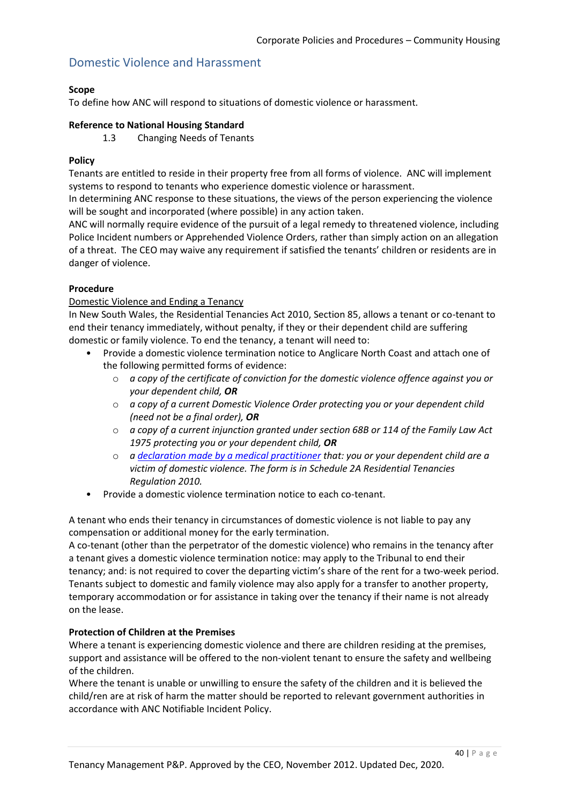## Domestic Violence and Harassment

### **Scope**

To define how ANC will respond to situations of domestic violence or harassment.

#### **Reference to National Housing Standard**

1.3 Changing Needs of Tenants

#### **Policy**

Tenants are entitled to reside in their property free from all forms of violence. ANC will implement systems to respond to tenants who experience domestic violence or harassment.

In determining ANC response to these situations, the views of the person experiencing the violence will be sought and incorporated (where possible) in any action taken.

ANC will normally require evidence of the pursuit of a legal remedy to threatened violence, including Police Incident numbers or Apprehended Violence Orders, rather than simply action on an allegation of a threat. The CEO may waive any requirement if satisfied the tenants' children or residents are in danger of violence.

#### **Procedure**

#### Domestic Violence and Ending a Tenancy

In New South Wales, the Residential Tenancies Act 2010, Section 85, allows a tenant or co-tenant to end their tenancy immediately, without penalty, if they or their dependent child are suffering domestic or family violence. To end the tenancy, a tenant will need to:

- Provide a domestic violence termination notice to Anglicare North Coast and attach one of the following permitted forms of evidence:
	- o *a copy of the certificate of conviction for the domestic violence offence against you or your dependent child, OR*
	- o *a copy of a current Domestic Violence Order protecting you or your dependent child (need not be a final order), OR*
	- o *a copy of a current injunction granted under section 68B or 114 of the Family Law Act 1975 protecting you or your dependent child, OR*
	- o *a [declaration made by a medical practitioner](https://www.fairtrading.nsw.gov.au/housing-and-property/renting/ending-a-tenancy/domestic-violence-declaration) that: you or your dependent child are a victim of domestic violence. The form is in Schedule 2A Residential Tenancies Regulation 2010.*
- Provide a domestic violence termination notice to each co-tenant.

A tenant who ends their tenancy in circumstances of domestic violence is not liable to pay any compensation or additional money for the early termination.

A co-tenant (other than the perpetrator of the domestic violence) who remains in the tenancy after a tenant gives a domestic violence termination notice: may apply to the Tribunal to end their tenancy; and: is not required to cover the departing victim's share of the rent for a two-week period. Tenants subject to domestic and family violence may also apply for a transfer to another property, temporary accommodation or for assistance in taking over the tenancy if their name is not already on the lease.

### **Protection of Children at the Premises**

Where a tenant is experiencing domestic violence and there are children residing at the premises, support and assistance will be offered to the non-violent tenant to ensure the safety and wellbeing of the children.

Where the tenant is unable or unwilling to ensure the safety of the children and it is believed the child/ren are at risk of harm the matter should be reported to relevant government authorities in accordance with ANC Notifiable Incident Policy.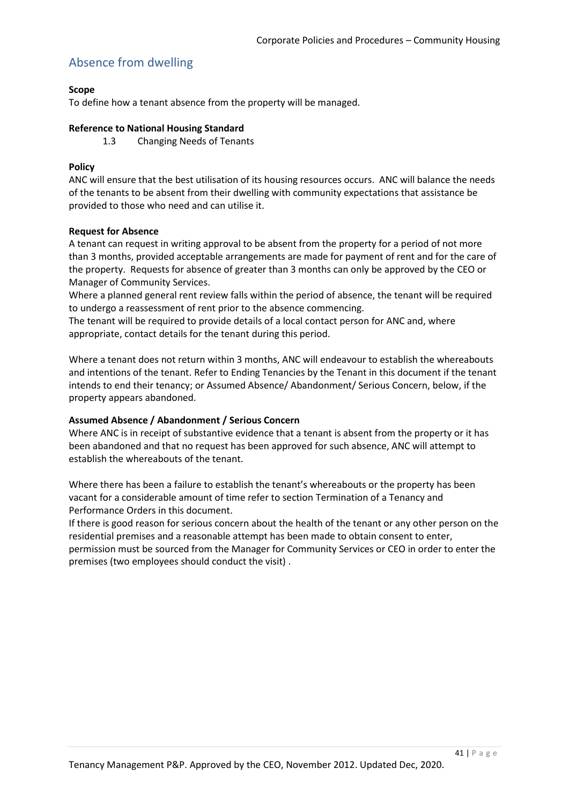# Absence from dwelling

### **Scope**

To define how a tenant absence from the property will be managed.

#### **Reference to National Housing Standard**

1.3 Changing Needs of Tenants

### **Policy**

ANC will ensure that the best utilisation of its housing resources occurs. ANC will balance the needs of the tenants to be absent from their dwelling with community expectations that assistance be provided to those who need and can utilise it.

#### **Request for Absence**

A tenant can request in writing approval to be absent from the property for a period of not more than 3 months, provided acceptable arrangements are made for payment of rent and for the care of the property. Requests for absence of greater than 3 months can only be approved by the CEO or Manager of Community Services.

Where a planned general rent review falls within the period of absence, the tenant will be required to undergo a reassessment of rent prior to the absence commencing.

The tenant will be required to provide details of a local contact person for ANC and, where appropriate, contact details for the tenant during this period.

Where a tenant does not return within 3 months, ANC will endeavour to establish the whereabouts and intentions of the tenant. Refer to Ending Tenancies by the Tenant in this document if the tenant intends to end their tenancy; or Assumed Absence/ Abandonment/ Serious Concern, below, if the property appears abandoned.

#### **Assumed Absence / Abandonment / Serious Concern**

Where ANC is in receipt of substantive evidence that a tenant is absent from the property or it has been abandoned and that no request has been approved for such absence, ANC will attempt to establish the whereabouts of the tenant.

Where there has been a failure to establish the tenant's whereabouts or the property has been vacant for a considerable amount of time refer to section Termination of a Tenancy and Performance Orders in this document.

If there is good reason for serious concern about the health of the tenant or any other person on the residential premises and a reasonable attempt has been made to obtain consent to enter, permission must be sourced from the Manager for Community Services or CEO in order to enter the premises (two employees should conduct the visit) .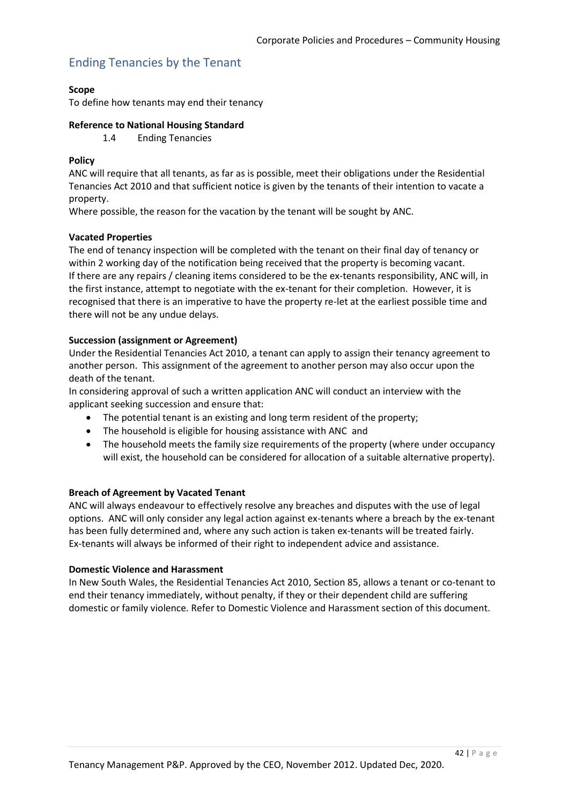# Ending Tenancies by the Tenant

#### **Scope**

To define how tenants may end their tenancy

#### **Reference to National Housing Standard**

1.4 Ending Tenancies

#### **Policy**

ANC will require that all tenants, as far as is possible, meet their obligations under the Residential Tenancies Act 2010 and that sufficient notice is given by the tenants of their intention to vacate a property.

Where possible, the reason for the vacation by the tenant will be sought by ANC.

#### **Vacated Properties**

The end of tenancy inspection will be completed with the tenant on their final day of tenancy or within 2 working day of the notification being received that the property is becoming vacant. If there are any repairs / cleaning items considered to be the ex-tenants responsibility, ANC will, in the first instance, attempt to negotiate with the ex-tenant for their completion. However, it is recognised that there is an imperative to have the property re-let at the earliest possible time and there will not be any undue delays.

#### **Succession (assignment or Agreement)**

Under the Residential Tenancies Act 2010, a tenant can apply to assign their tenancy agreement to another person. This assignment of the agreement to another person may also occur upon the death of the tenant.

In considering approval of such a written application ANC will conduct an interview with the applicant seeking succession and ensure that:

- The potential tenant is an existing and long term resident of the property;
- The household is eligible for housing assistance with ANC and
- The household meets the family size requirements of the property (where under occupancy will exist, the household can be considered for allocation of a suitable alternative property).

#### **Breach of Agreement by Vacated Tenant**

ANC will always endeavour to effectively resolve any breaches and disputes with the use of legal options. ANC will only consider any legal action against ex-tenants where a breach by the ex-tenant has been fully determined and, where any such action is taken ex-tenants will be treated fairly. Ex-tenants will always be informed of their right to independent advice and assistance.

#### **Domestic Violence and Harassment**

In New South Wales, the Residential Tenancies Act 2010, Section 85, allows a tenant or co-tenant to end their tenancy immediately, without penalty, if they or their dependent child are suffering domestic or family violence. Refer to Domestic Violence and Harassment section of this document.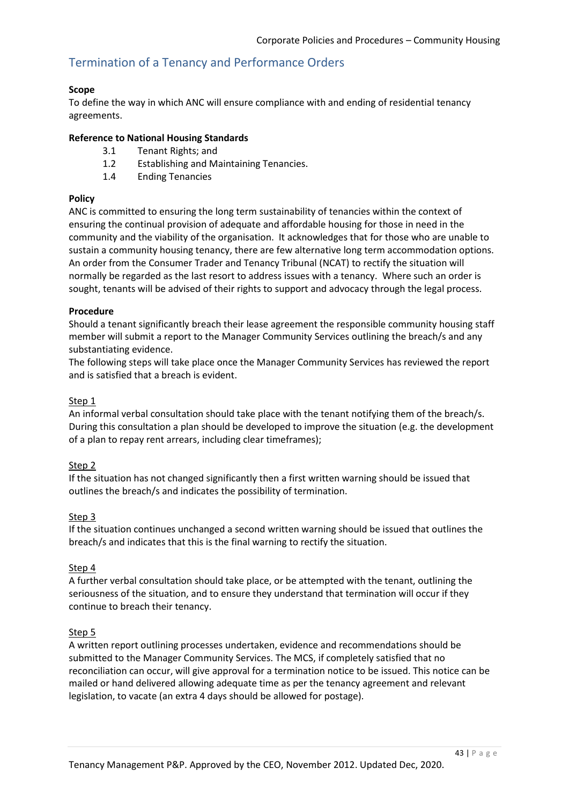# Termination of a Tenancy and Performance Orders

#### **Scope**

To define the way in which ANC will ensure compliance with and ending of residential tenancy agreements.

#### **Reference to National Housing Standards**

- 3.1 Tenant Rights; and
- 1.2 Establishing and Maintaining Tenancies.
- 1.4 Ending Tenancies

### **Policy**

ANC is committed to ensuring the long term sustainability of tenancies within the context of ensuring the continual provision of adequate and affordable housing for those in need in the community and the viability of the organisation. It acknowledges that for those who are unable to sustain a community housing tenancy, there are few alternative long term accommodation options. An order from the Consumer Trader and Tenancy Tribunal (NCAT) to rectify the situation will normally be regarded as the last resort to address issues with a tenancy. Where such an order is sought, tenants will be advised of their rights to support and advocacy through the legal process.

#### **Procedure**

Should a tenant significantly breach their lease agreement the responsible community housing staff member will submit a report to the Manager Community Services outlining the breach/s and any substantiating evidence.

The following steps will take place once the Manager Community Services has reviewed the report and is satisfied that a breach is evident.

#### Step 1

An informal verbal consultation should take place with the tenant notifying them of the breach/s. During this consultation a plan should be developed to improve the situation (e.g. the development of a plan to repay rent arrears, including clear timeframes);

#### Step 2

If the situation has not changed significantly then a first written warning should be issued that outlines the breach/s and indicates the possibility of termination.

#### Step 3

If the situation continues unchanged a second written warning should be issued that outlines the breach/s and indicates that this is the final warning to rectify the situation.

#### Step 4

A further verbal consultation should take place, or be attempted with the tenant, outlining the seriousness of the situation, and to ensure they understand that termination will occur if they continue to breach their tenancy.

#### Step 5

A written report outlining processes undertaken, evidence and recommendations should be submitted to the Manager Community Services. The MCS, if completely satisfied that no reconciliation can occur, will give approval for a termination notice to be issued. This notice can be mailed or hand delivered allowing adequate time as per the tenancy agreement and relevant legislation, to vacate (an extra 4 days should be allowed for postage).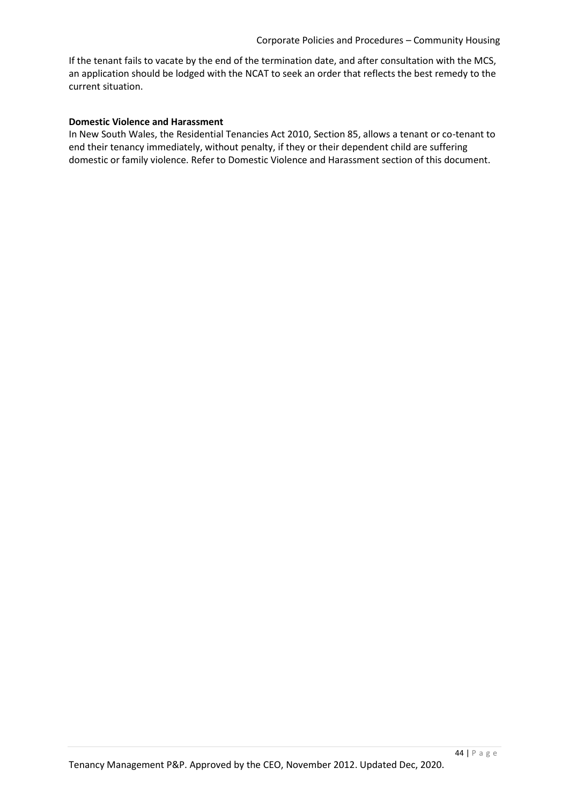If the tenant fails to vacate by the end of the termination date, and after consultation with the MCS, an application should be lodged with the NCAT to seek an order that reflects the best remedy to the current situation.

#### **Domestic Violence and Harassment**

In New South Wales, the Residential Tenancies Act 2010, Section 85, allows a tenant or co-tenant to end their tenancy immediately, without penalty, if they or their dependent child are suffering domestic or family violence. Refer to Domestic Violence and Harassment section of this document.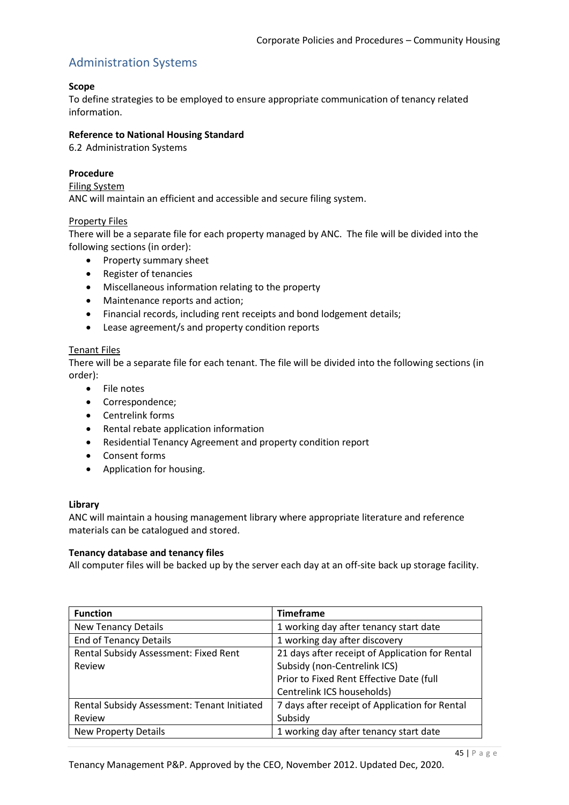# Administration Systems

#### **Scope**

To define strategies to be employed to ensure appropriate communication of tenancy related information.

#### **Reference to National Housing Standard**

6.2 Administration Systems

#### **Procedure**

#### Filing System

ANC will maintain an efficient and accessible and secure filing system.

#### Property Files

There will be a separate file for each property managed by ANC. The file will be divided into the following sections (in order):

- Property summary sheet
- Register of tenancies
- Miscellaneous information relating to the property
- Maintenance reports and action;
- Financial records, including rent receipts and bond lodgement details;
- Lease agreement/s and property condition reports

#### Tenant Files

There will be a separate file for each tenant. The file will be divided into the following sections (in order):

- File notes
- Correspondence;
- Centrelink forms
- Rental rebate application information
- Residential Tenancy Agreement and property condition report
- Consent forms
- Application for housing.

#### **Library**

ANC will maintain a housing management library where appropriate literature and reference materials can be catalogued and stored.

#### **Tenancy database and tenancy files**

All computer files will be backed up by the server each day at an off-site back up storage facility.

| <b>Function</b>                             | <b>Timeframe</b>                                |
|---------------------------------------------|-------------------------------------------------|
| <b>New Tenancy Details</b>                  | 1 working day after tenancy start date          |
| <b>End of Tenancy Details</b>               | 1 working day after discovery                   |
| Rental Subsidy Assessment: Fixed Rent       | 21 days after receipt of Application for Rental |
| Review                                      | Subsidy (non-Centrelink ICS)                    |
|                                             | Prior to Fixed Rent Effective Date (full        |
|                                             | Centrelink ICS households)                      |
| Rental Subsidy Assessment: Tenant Initiated | 7 days after receipt of Application for Rental  |
| Review                                      | Subsidy                                         |
| <b>New Property Details</b>                 | 1 working day after tenancy start date          |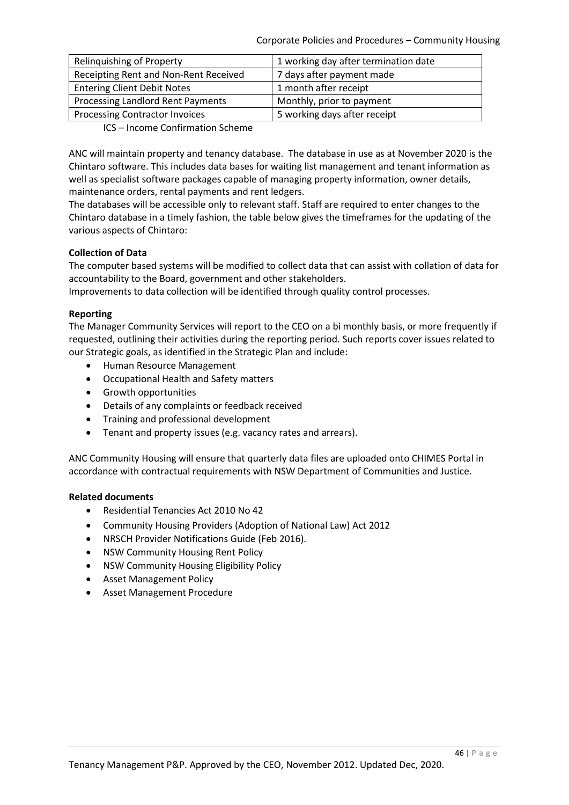Corporate Policies and Procedures – Community Housing

| Relinguishing of Property             | 1 working day after termination date |
|---------------------------------------|--------------------------------------|
| Receipting Rent and Non-Rent Received | 7 days after payment made            |
| <b>Entering Client Debit Notes</b>    | 1 month after receipt                |
| Processing Landlord Rent Payments     | Monthly, prior to payment            |
| <b>Processing Contractor Invoices</b> | 5 working days after receipt         |
|                                       |                                      |

ICS – Income Confirmation Scheme

ANC will maintain property and tenancy database. The database in use as at November 2020 is the Chintaro software. This includes data bases for waiting list management and tenant information as well as specialist software packages capable of managing property information, owner details, maintenance orders, rental payments and rent ledgers.

The databases will be accessible only to relevant staff. Staff are required to enter changes to the Chintaro database in a timely fashion, the table below gives the timeframes for the updating of the various aspects of Chintaro:

#### **Collection of Data**

The computer based systems will be modified to collect data that can assist with collation of data for accountability to the Board, government and other stakeholders.

Improvements to data collection will be identified through quality control processes.

#### **Reporting**

The Manager Community Services will report to the CEO on a bi monthly basis, or more frequently if requested, outlining their activities during the reporting period. Such reports cover issues related to our Strategic goals, as identified in the Strategic Plan and include:

- Human Resource Management
- Occupational Health and Safety matters
- Growth opportunities
- Details of any complaints or feedback received
- **•** Training and professional development
- Tenant and property issues (e.g. vacancy rates and arrears).

ANC Community Housing will ensure that quarterly data files are uploaded onto CHIMES Portal in accordance with contractual requirements with NSW Department of Communities and Justice.

#### **Related documents**

- Residential Tenancies Act 2010 No 42
- Community Housing Providers (Adoption of National Law) Act 2012
- NRSCH Provider Notifications Guide (Feb 2016).
- NSW Community Housing Rent Policy
- NSW Community Housing Eligibility Policy
- Asset Management Policy
- Asset Management Procedure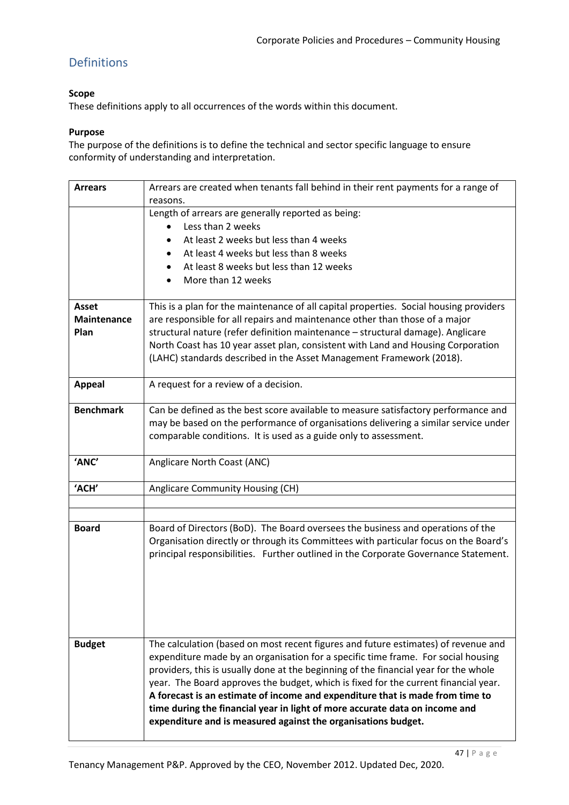# Definitions

### **Scope**

These definitions apply to all occurrences of the words within this document.

#### **Purpose**

The purpose of the definitions is to define the technical and sector specific language to ensure conformity of understanding and interpretation.

| <b>Arrears</b>                      | Arrears are created when tenants fall behind in their rent payments for a range of<br>reasons.                                                                                                                                                                                                                                                                                                                                                                                                                                                                                          |
|-------------------------------------|-----------------------------------------------------------------------------------------------------------------------------------------------------------------------------------------------------------------------------------------------------------------------------------------------------------------------------------------------------------------------------------------------------------------------------------------------------------------------------------------------------------------------------------------------------------------------------------------|
|                                     | Length of arrears are generally reported as being:<br>Less than 2 weeks<br>At least 2 weeks but less than 4 weeks<br>At least 4 weeks but less than 8 weeks<br>At least 8 weeks but less than 12 weeks<br>More than 12 weeks                                                                                                                                                                                                                                                                                                                                                            |
| Asset<br><b>Maintenance</b><br>Plan | This is a plan for the maintenance of all capital properties. Social housing providers<br>are responsible for all repairs and maintenance other than those of a major<br>structural nature (refer definition maintenance - structural damage). Anglicare<br>North Coast has 10 year asset plan, consistent with Land and Housing Corporation<br>(LAHC) standards described in the Asset Management Framework (2018).                                                                                                                                                                    |
| <b>Appeal</b>                       | A request for a review of a decision.                                                                                                                                                                                                                                                                                                                                                                                                                                                                                                                                                   |
| <b>Benchmark</b>                    | Can be defined as the best score available to measure satisfactory performance and<br>may be based on the performance of organisations delivering a similar service under<br>comparable conditions. It is used as a guide only to assessment.                                                                                                                                                                                                                                                                                                                                           |
| 'ANC'                               | Anglicare North Coast (ANC)                                                                                                                                                                                                                                                                                                                                                                                                                                                                                                                                                             |
| 'ACH'                               | Anglicare Community Housing (CH)                                                                                                                                                                                                                                                                                                                                                                                                                                                                                                                                                        |
|                                     |                                                                                                                                                                                                                                                                                                                                                                                                                                                                                                                                                                                         |
| <b>Board</b>                        | Board of Directors (BoD). The Board oversees the business and operations of the<br>Organisation directly or through its Committees with particular focus on the Board's<br>principal responsibilities. Further outlined in the Corporate Governance Statement.                                                                                                                                                                                                                                                                                                                          |
| <b>Budget</b>                       | The calculation (based on most recent figures and future estimates) of revenue and<br>expenditure made by an organisation for a specific time frame. For social housing<br>providers, this is usually done at the beginning of the financial year for the whole<br>year. The Board approves the budget, which is fixed for the current financial year.<br>A forecast is an estimate of income and expenditure that is made from time to<br>time during the financial year in light of more accurate data on income and<br>expenditure and is measured against the organisations budget. |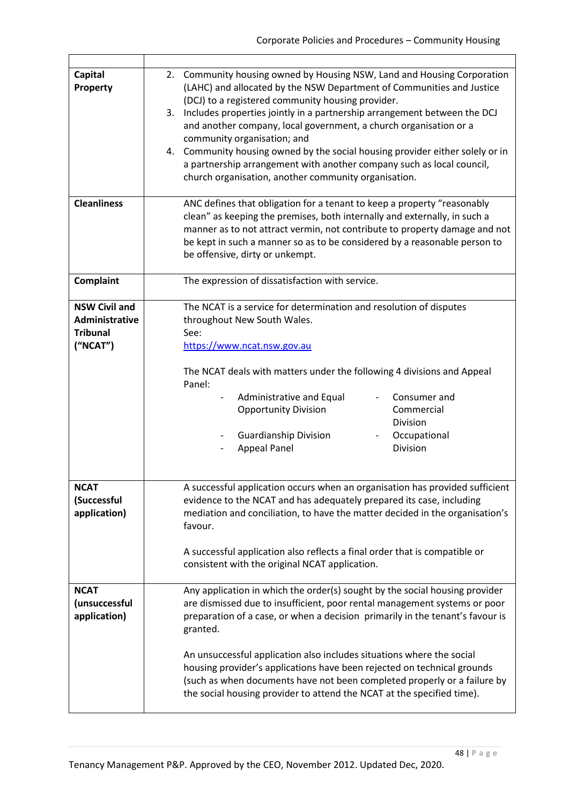| Capital              | 2. Community housing owned by Housing NSW, Land and Housing Corporation                                                                                |  |  |
|----------------------|--------------------------------------------------------------------------------------------------------------------------------------------------------|--|--|
| Property             | (LAHC) and allocated by the NSW Department of Communities and Justice                                                                                  |  |  |
|                      | (DCJ) to a registered community housing provider.                                                                                                      |  |  |
|                      | 3. Includes properties jointly in a partnership arrangement between the DCJ                                                                            |  |  |
|                      | and another company, local government, a church organisation or a                                                                                      |  |  |
|                      |                                                                                                                                                        |  |  |
|                      | community organisation; and                                                                                                                            |  |  |
|                      | 4. Community housing owned by the social housing provider either solely or in<br>a partnership arrangement with another company such as local council, |  |  |
|                      | church organisation, another community organisation.                                                                                                   |  |  |
|                      |                                                                                                                                                        |  |  |
| <b>Cleanliness</b>   | ANC defines that obligation for a tenant to keep a property "reasonably                                                                                |  |  |
|                      | clean" as keeping the premises, both internally and externally, in such a                                                                              |  |  |
|                      | manner as to not attract vermin, not contribute to property damage and not                                                                             |  |  |
|                      | be kept in such a manner so as to be considered by a reasonable person to                                                                              |  |  |
|                      | be offensive, dirty or unkempt.                                                                                                                        |  |  |
|                      |                                                                                                                                                        |  |  |
| <b>Complaint</b>     | The expression of dissatisfaction with service.                                                                                                        |  |  |
|                      |                                                                                                                                                        |  |  |
| <b>NSW Civil and</b> | The NCAT is a service for determination and resolution of disputes                                                                                     |  |  |
| Administrative       | throughout New South Wales.                                                                                                                            |  |  |
| <b>Tribunal</b>      | See:                                                                                                                                                   |  |  |
| ("NCAT")             | https://www.ncat.nsw.gov.au                                                                                                                            |  |  |
|                      |                                                                                                                                                        |  |  |
|                      | The NCAT deals with matters under the following 4 divisions and Appeal                                                                                 |  |  |
|                      | Panel:                                                                                                                                                 |  |  |
|                      | Administrative and Equal<br>Consumer and<br>$\overline{\phantom{a}}$                                                                                   |  |  |
|                      | Commercial<br><b>Opportunity Division</b>                                                                                                              |  |  |
|                      | <b>Division</b>                                                                                                                                        |  |  |
|                      | <b>Guardianship Division</b><br>Occupational                                                                                                           |  |  |
|                      | <b>Appeal Panel</b><br>Division                                                                                                                        |  |  |
|                      |                                                                                                                                                        |  |  |
|                      |                                                                                                                                                        |  |  |
| <b>NCAT</b>          | A successful application occurs when an organisation has provided sufficient                                                                           |  |  |
| (Successful          | evidence to the NCAT and has adequately prepared its case, including                                                                                   |  |  |
| application)         | mediation and conciliation, to have the matter decided in the organisation's                                                                           |  |  |
|                      | favour.                                                                                                                                                |  |  |
|                      |                                                                                                                                                        |  |  |
|                      | A successful application also reflects a final order that is compatible or                                                                             |  |  |
|                      | consistent with the original NCAT application.                                                                                                         |  |  |
| <b>NCAT</b>          | Any application in which the order(s) sought by the social housing provider                                                                            |  |  |
| (unsuccessful        | are dismissed due to insufficient, poor rental management systems or poor                                                                              |  |  |
| application)         | preparation of a case, or when a decision primarily in the tenant's favour is                                                                          |  |  |
|                      | granted.                                                                                                                                               |  |  |
|                      |                                                                                                                                                        |  |  |
|                      | An unsuccessful application also includes situations where the social                                                                                  |  |  |
|                      | housing provider's applications have been rejected on technical grounds                                                                                |  |  |
|                      | (such as when documents have not been completed properly or a failure by                                                                               |  |  |
|                      | the social housing provider to attend the NCAT at the specified time).                                                                                 |  |  |
|                      |                                                                                                                                                        |  |  |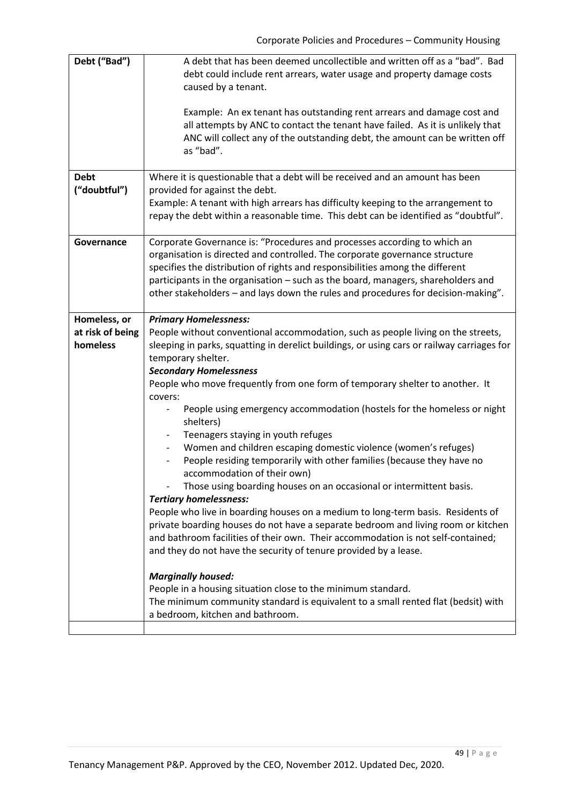| Debt ("Bad")                | A debt that has been deemed uncollectible and written off as a "bad". Bad<br>debt could include rent arrears, water usage and property damage costs<br>caused by a tenant.                                                                                                                                                                                                                                        |
|-----------------------------|-------------------------------------------------------------------------------------------------------------------------------------------------------------------------------------------------------------------------------------------------------------------------------------------------------------------------------------------------------------------------------------------------------------------|
|                             | Example: An ex tenant has outstanding rent arrears and damage cost and<br>all attempts by ANC to contact the tenant have failed. As it is unlikely that<br>ANC will collect any of the outstanding debt, the amount can be written off<br>as "bad".                                                                                                                                                               |
| <b>Debt</b><br>("doubtful") | Where it is questionable that a debt will be received and an amount has been<br>provided for against the debt.<br>Example: A tenant with high arrears has difficulty keeping to the arrangement to<br>repay the debt within a reasonable time. This debt can be identified as "doubtful".                                                                                                                         |
| Governance                  | Corporate Governance is: "Procedures and processes according to which an<br>organisation is directed and controlled. The corporate governance structure<br>specifies the distribution of rights and responsibilities among the different<br>participants in the organisation - such as the board, managers, shareholders and<br>other stakeholders - and lays down the rules and procedures for decision-making". |
| Homeless, or                |                                                                                                                                                                                                                                                                                                                                                                                                                   |
|                             | <b>Primary Homelessness:</b>                                                                                                                                                                                                                                                                                                                                                                                      |
| at risk of being            | People without conventional accommodation, such as people living on the streets,                                                                                                                                                                                                                                                                                                                                  |
| homeless                    | sleeping in parks, squatting in derelict buildings, or using cars or railway carriages for                                                                                                                                                                                                                                                                                                                        |
|                             | temporary shelter.                                                                                                                                                                                                                                                                                                                                                                                                |
|                             | <b>Secondary Homelessness</b>                                                                                                                                                                                                                                                                                                                                                                                     |
|                             | People who move frequently from one form of temporary shelter to another. It<br>covers:                                                                                                                                                                                                                                                                                                                           |
|                             | People using emergency accommodation (hostels for the homeless or night<br>shelters)                                                                                                                                                                                                                                                                                                                              |
|                             | Teenagers staying in youth refuges                                                                                                                                                                                                                                                                                                                                                                                |
|                             | Women and children escaping domestic violence (women's refuges)                                                                                                                                                                                                                                                                                                                                                   |
|                             | People residing temporarily with other families (because they have no<br>accommodation of their own)                                                                                                                                                                                                                                                                                                              |
|                             | Those using boarding houses on an occasional or intermittent basis.<br><b>Tertiary homelessness:</b>                                                                                                                                                                                                                                                                                                              |
|                             |                                                                                                                                                                                                                                                                                                                                                                                                                   |
|                             | People who live in boarding houses on a medium to long-term basis. Residents of                                                                                                                                                                                                                                                                                                                                   |
|                             | private boarding houses do not have a separate bedroom and living room or kitchen                                                                                                                                                                                                                                                                                                                                 |
|                             | and bathroom facilities of their own. Their accommodation is not self-contained;<br>and they do not have the security of tenure provided by a lease.                                                                                                                                                                                                                                                              |
|                             |                                                                                                                                                                                                                                                                                                                                                                                                                   |
|                             | <b>Marginally housed:</b>                                                                                                                                                                                                                                                                                                                                                                                         |
|                             | People in a housing situation close to the minimum standard.                                                                                                                                                                                                                                                                                                                                                      |
|                             | The minimum community standard is equivalent to a small rented flat (bedsit) with                                                                                                                                                                                                                                                                                                                                 |
|                             | a bedroom, kitchen and bathroom.                                                                                                                                                                                                                                                                                                                                                                                  |